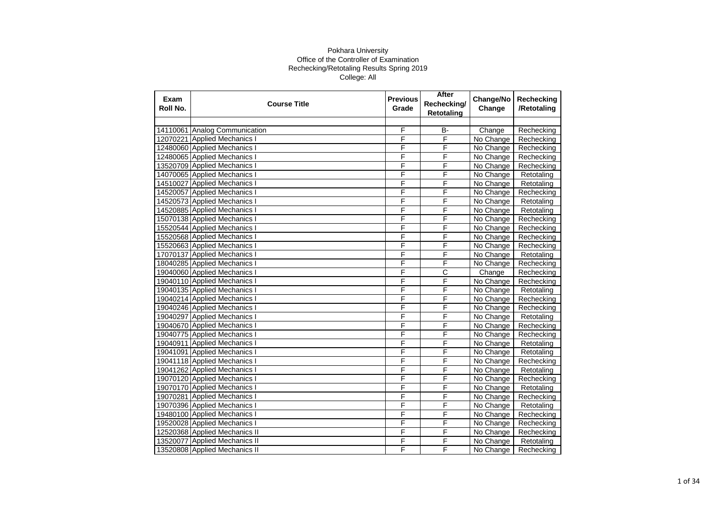| Exam<br>Roll No. | <b>Course Title</b>           | <b>Previous</b><br>Grade | After<br>Rechecking/<br><b>Retotaling</b> | Change/No<br>Change | Rechecking<br>/Retotaling |
|------------------|-------------------------------|--------------------------|-------------------------------------------|---------------------|---------------------------|
|                  |                               |                          |                                           |                     |                           |
|                  | 14110061 Analog Communication | F                        | B-                                        | Change              | Rechecking                |
|                  | 12070221 Applied Mechanics I  | F                        | F                                         | No Change           | Rechecking                |
|                  | 12480060 Applied Mechanics I  | F                        | F                                         | No Change           | Rechecking                |
|                  | 12480065 Applied Mechanics I  | F                        | F                                         | No Change           | Rechecking                |
|                  | 13520709 Applied Mechanics I  | F                        | F                                         | No Change           | Rechecking                |
|                  | 14070065 Applied Mechanics I  | F                        | F                                         | No Change           | Retotaling                |
|                  | 14510027 Applied Mechanics I  | F                        | F                                         | No Change           | Retotaling                |
|                  | 14520057 Applied Mechanics I  | F                        | F                                         | No Change           | Rechecking                |
|                  | 14520573 Applied Mechanics I  | F                        | F                                         | No Change           | Retotaling                |
|                  | 14520885 Applied Mechanics I  | F                        | F                                         | No Change           | Retotaling                |
|                  | 15070138 Applied Mechanics I  | F                        | F                                         | No Change           | Rechecking                |
|                  | 15520544 Applied Mechanics I  | F                        | F                                         | No Change           | Rechecking                |
|                  | 15520568 Applied Mechanics I  | F                        | F                                         | No Change           | Rechecking                |
|                  | 15520663 Applied Mechanics I  | F                        | F                                         | No Change           | Rechecking                |
|                  | 17070137 Applied Mechanics I  | F                        | F                                         | No Change           | Retotaling                |
|                  | 18040285 Applied Mechanics I  | F                        | F                                         | No Change           | Rechecking                |
|                  | 19040060 Applied Mechanics I  | F                        | $\overline{\text{c}}$                     | Change              | Rechecking                |
|                  | 19040110 Applied Mechanics I  | F                        | F                                         | No Change           | Rechecking                |
|                  | 19040135 Applied Mechanics I  | F                        | F                                         | No Change           | Retotaling                |
|                  | 19040214 Applied Mechanics I  | F                        | F                                         | No Change           | Rechecking                |
|                  | 19040246 Applied Mechanics I  | F                        | F                                         | No Change           | Rechecking                |
|                  | 19040297 Applied Mechanics I  | F                        | F                                         | No Change           | Retotaling                |
|                  | 19040670 Applied Mechanics I  | F                        | F                                         | No Change           | Rechecking                |
|                  | 19040775 Applied Mechanics I  | F                        | F                                         | No Change           | Rechecking                |
|                  | 19040911 Applied Mechanics I  | F                        | F                                         | No Change           | Retotaling                |
|                  | 19041091 Applied Mechanics I  | F                        | F                                         | No Change           | Retotaling                |
|                  | 19041118 Applied Mechanics I  | F                        | F                                         | No Change           | Rechecking                |
|                  | 19041262 Applied Mechanics I  | F                        | F                                         | No Change           | Retotaling                |
|                  | 19070120 Applied Mechanics I  | F                        | F                                         | No Change           | Rechecking                |
|                  | 19070170 Applied Mechanics I  | F                        | F                                         | No Change           | Retotaling                |
|                  | 19070281 Applied Mechanics I  | F                        | F                                         | No Change           | Rechecking                |
|                  | 19070396 Applied Mechanics I  | F                        | F                                         | No Change           | Retotaling                |
|                  | 19480100 Applied Mechanics I  | F                        | F                                         | No Change           | Rechecking                |
|                  | 19520028 Applied Mechanics I  | F                        | F                                         | No Change           | Rechecking                |
|                  | 12520368 Applied Mechanics II | F                        | F                                         | No Change           | Rechecking                |
|                  | 13520077 Applied Mechanics II | F                        | F                                         | No Change           | Retotaling                |
|                  | 13520808 Applied Mechanics II | F                        | F                                         | No Change           | Rechecking                |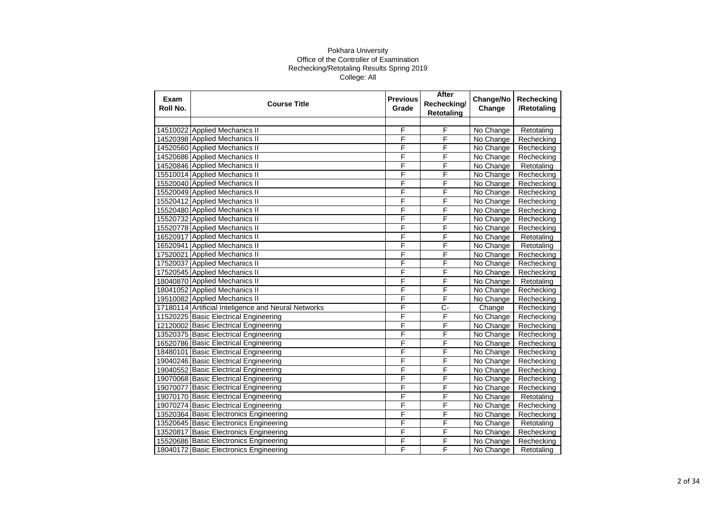| Exam<br>Roll No. | <b>Course Title</b>                                 | <b>Previous</b><br>Grade | After<br>Rechecking/<br><b>Retotaling</b> | Change/No<br>Change | Rechecking<br>/Retotaling |
|------------------|-----------------------------------------------------|--------------------------|-------------------------------------------|---------------------|---------------------------|
|                  |                                                     |                          |                                           |                     |                           |
|                  | 14510022 Applied Mechanics II                       | F                        | F                                         | No Change           | Retotaling                |
|                  | 14520398 Applied Mechanics II                       | F                        | F                                         | No Change           | Rechecking                |
|                  | 14520560 Applied Mechanics II                       | F                        | F                                         | No Change           | Rechecking                |
|                  | 14520686 Applied Mechanics II                       | F                        | F                                         | No Change           | Rechecking                |
|                  | 14520846 Applied Mechanics II                       | F                        | F                                         | No Change           | Retotaling                |
|                  | 15510014 Applied Mechanics II                       | F                        | F                                         | No Change           | Rechecking                |
|                  | 15520040 Applied Mechanics II                       | F                        | F                                         | No Change           | Rechecking                |
|                  | 15520049 Applied Mechanics II                       | F                        | F                                         | No Change           | Rechecking                |
|                  | 15520412 Applied Mechanics II                       | F                        | F                                         | No Change           | Rechecking                |
|                  | 15520480 Applied Mechanics II                       | F                        | F                                         | No Change           | Rechecking                |
|                  | 15520732 Applied Mechanics II                       | F                        | F                                         | No Change           | Rechecking                |
|                  | 15520778 Applied Mechanics II                       | F                        | F                                         | No Change           | Rechecking                |
|                  | 16520917 Applied Mechanics II                       | F                        | F                                         | No Change           | Retotaling                |
|                  | 16520941 Applied Mechanics II                       | F                        | F                                         | No Change           | Retotaling                |
|                  | 17520021 Applied Mechanics II                       | F                        | F                                         | No Change           | Rechecking                |
|                  | 17520037 Applied Mechanics II                       | F                        | F                                         | No Change           | Rechecking                |
|                  | 17520545 Applied Mechanics II                       | F                        | F                                         | No Change           | Rechecking                |
|                  | 18040870 Applied Mechanics II                       | F                        | F                                         | No Change           | Retotaling                |
|                  | 18041052 Applied Mechanics II                       | F                        | F                                         | No Change           | Rechecking                |
|                  | 19510082 Applied Mechanics II                       | F                        | F                                         | No Change           | Rechecking                |
|                  | 17180114 Artificial Inteligence and Neural Networks | F                        | $C -$                                     | Change              | Rechecking                |
|                  | 11520225 Basic Electrical Engineering               | F                        | F                                         | No Change           | Rechecking                |
|                  | 12120002 Basic Electrical Engineering               | F                        | F                                         | No Change           | Rechecking                |
|                  | 13520375 Basic Electrical Engineering               | F                        | F                                         | No Change           | Rechecking                |
|                  | 16520786 Basic Electrical Engineering               | F                        | F                                         | No Change           | Rechecking                |
|                  | 18480101 Basic Electrical Engineering               | F                        | F                                         | No Change           | Rechecking                |
|                  | 19040246 Basic Electrical Engineering               | F                        | F                                         | No Change           | Rechecking                |
|                  | 19040552 Basic Electrical Engineering               | F                        | F                                         | No Change           | Rechecking                |
|                  | 19070068 Basic Electrical Engineering               | F                        | F                                         | No Change           | Rechecking                |
|                  | 19070077 Basic Electrical Engineering               | F                        | F                                         | No Change           | Rechecking                |
|                  | 19070170 Basic Electrical Engineering               | F                        | F                                         | No Change           | Retotaling                |
|                  | 19070274 Basic Electrical Engineering               | F                        | F                                         | No Change           | Rechecking                |
|                  | 13520364 Basic Electronics Engineering              | F                        | F                                         | No Change           | Rechecking                |
|                  | 13520645 Basic Electronics Engineering              | F                        | F                                         | No Change           | Retotaling                |
|                  | 13520817 Basic Electronics Engineering              | F                        | F                                         | No Change           | Rechecking                |
|                  | 15520686 Basic Electronics Engineering              | F                        | F                                         | No Change           | Rechecking                |
|                  | 18040172 Basic Electronics Engineering              | F                        | F                                         | No Change           | Retotaling                |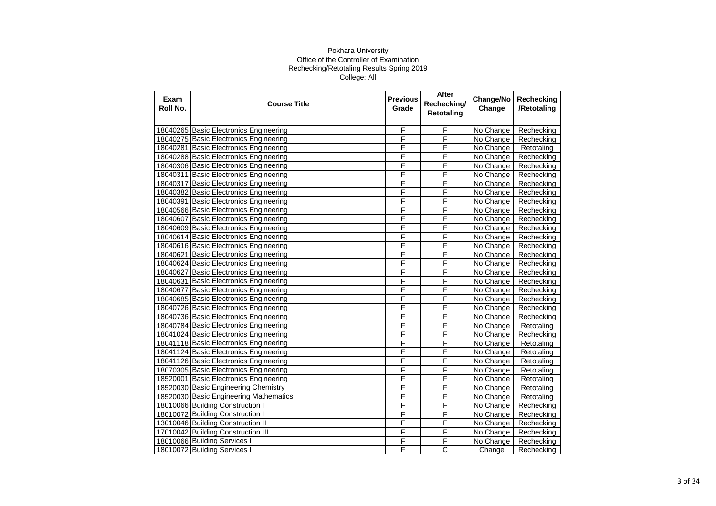| Exam<br>Roll No. | <b>Course Title</b>                    | <b>Previous</b><br>Grade | After<br>Rechecking/<br>Retotaling | Change/No<br>Change | Rechecking<br>/Retotaling |
|------------------|----------------------------------------|--------------------------|------------------------------------|---------------------|---------------------------|
|                  |                                        |                          |                                    |                     |                           |
|                  | 18040265 Basic Electronics Engineering | F                        | F                                  | No Change           | Rechecking                |
|                  | 18040275 Basic Electronics Engineering | F                        | F                                  | No Change           | Rechecking                |
|                  | 18040281 Basic Electronics Engineering | F                        | F                                  | No Change           | Retotaling                |
|                  | 18040288 Basic Electronics Engineering | F                        | F                                  | No Change           | Rechecking                |
|                  | 18040306 Basic Electronics Engineering | F                        | F                                  | No Change           | Rechecking                |
|                  | 18040311 Basic Electronics Engineering | F                        | F                                  | No Change           | Rechecking                |
|                  | 18040317 Basic Electronics Engineering | F                        | F                                  | No Change           | Rechecking                |
|                  | 18040382 Basic Electronics Engineering | F                        | F                                  | No Change           | Rechecking                |
|                  | 18040391 Basic Electronics Engineering | F                        | F                                  | No Change           | Rechecking                |
|                  | 18040566 Basic Electronics Engineering | F                        | F                                  | No Change           | Rechecking                |
|                  | 18040607 Basic Electronics Engineering | F                        | F                                  | No Change           | Rechecking                |
|                  | 18040609 Basic Electronics Engineering | F                        | F                                  | No Change           | Rechecking                |
|                  | 18040614 Basic Electronics Engineering | F                        | F                                  | No Change           | Rechecking                |
|                  | 18040616 Basic Electronics Engineering | F                        | F                                  | No Change           | Rechecking                |
|                  | 18040621 Basic Electronics Engineering | Ē                        | F                                  | No Change           | Rechecking                |
|                  | 18040624 Basic Electronics Engineering | F                        | F                                  | No Change           | Rechecking                |
|                  | 18040627 Basic Electronics Engineering | F                        | F                                  | No Change           | Rechecking                |
|                  | 18040631 Basic Electronics Engineering | F                        | F                                  | No Change           | Rechecking                |
|                  | 18040677 Basic Electronics Engineering | F                        | F                                  | No Change           | Rechecking                |
|                  | 18040685 Basic Electronics Engineering | F                        | F                                  | No Change           | Rechecking                |
|                  | 18040726 Basic Electronics Engineering | F                        | F                                  | No Change           | Rechecking                |
|                  | 18040736 Basic Electronics Engineering | F                        | F                                  | No Change           | Rechecking                |
|                  | 18040784 Basic Electronics Engineering | F                        | F                                  | No Change           | Retotaling                |
|                  | 18041024 Basic Electronics Engineering | F                        | F                                  | No Change           | Rechecking                |
|                  | 18041118 Basic Electronics Engineering | F                        | F                                  | No Change           | Retotaling                |
|                  | 18041124 Basic Electronics Engineering | F                        | F                                  | No Change           | Retotaling                |
|                  | 18041126 Basic Electronics Engineering | F                        | F                                  | No Change           | Retotaling                |
|                  | 18070305 Basic Electronics Engineering | F                        | F                                  | No Change           | Retotaling                |
|                  | 18520001 Basic Electronics Engineering | F                        | F                                  | No Change           | Retotaling                |
|                  | 18520030 Basic Engineering Chemistry   | F                        | F                                  | No Change           | Retotaling                |
|                  | 18520030 Basic Engineering Mathematics | F                        | F                                  | No Change           | Retotaling                |
|                  | 18010066 Building Construction I       | F                        | F                                  | No Change           | Rechecking                |
|                  | 18010072 Building Construction I       | F                        | F                                  | No Change           | Rechecking                |
|                  | 13010046 Building Construction II      | F                        | F                                  | No Change           | Rechecking                |
|                  | 17010042 Building Construction III     | F                        | F                                  | No Change           | Rechecking                |
|                  | 18010066 Building Services I           | F                        | F                                  | No Change           | Rechecking                |
|                  | 18010072 Building Services I           | F                        | $\overline{C}$                     | Change              | Rechecking                |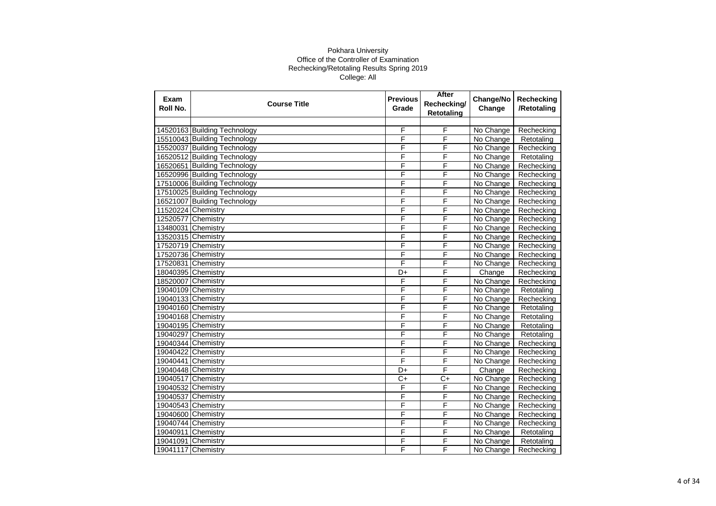| Exam<br>Roll No.   | <b>Course Title</b>          | <b>Previous</b><br>Grade | After<br>Rechecking/<br><b>Retotaling</b> | Change/No<br>Change | Rechecking<br>/Retotaling |
|--------------------|------------------------------|--------------------------|-------------------------------------------|---------------------|---------------------------|
|                    |                              |                          |                                           |                     |                           |
|                    | 14520163 Building Technology | F                        | F                                         | No Change           | Rechecking                |
|                    | 15510043 Building Technology | F                        | F                                         | No Change           | Retotaling                |
|                    | 15520037 Building Technology | F                        | F                                         | No Change           | Rechecking                |
|                    | 16520512 Building Technology | F                        | F                                         | No Change           | Retotaling                |
|                    | 16520651 Building Technology | F                        | F                                         | No Change           | Rechecking                |
|                    | 16520996 Building Technology | F                        | F                                         | No Change           | Rechecking                |
|                    | 17510006 Building Technology | F                        | F                                         | No Change           | Rechecking                |
|                    | 17510025 Building Technology | F                        | F                                         | No Change           | Rechecking                |
|                    | 16521007 Building Technology | F                        | F                                         | No Change           | Rechecking                |
| 11520224 Chemistry |                              | F                        | F                                         | No Change           | Rechecking                |
| 12520577           | Chemistry                    | F                        | F                                         | No Change           | Rechecking                |
| 13480031           | Chemistry                    | F                        | F                                         | No Change           | Rechecking                |
| 13520315 Chemistry |                              | F                        | F                                         | No Change           | Rechecking                |
| 17520719 Chemistry |                              | F                        | F                                         | No Change           | Rechecking                |
| 17520736 Chemistry |                              | F                        | F                                         | No Change           | Rechecking                |
| 17520831 Chemistry |                              | F                        | F                                         | No Change           | Rechecking                |
|                    | 18040395 Chemistry           | D+                       | F                                         | Change              | Rechecking                |
|                    | 18520007 Chemistry           | F                        | F                                         | No Change           | Rechecking                |
|                    | 19040109 Chemistry           | F                        | F                                         | No Change           | Retotaling                |
| 19040133 Chemistry |                              | F                        | F                                         | No Change           | Rechecking                |
|                    | 19040160 Chemistry           | F                        | F                                         | No Change           | Retotaling                |
|                    | 19040168 Chemistry           | F                        | F                                         | No Change           | Retotaling                |
|                    | 19040195 Chemistry           | F                        | F                                         | No Change           | Retotaling                |
|                    | 19040297 Chemistry           | F                        | F                                         | No Change           | Retotaling                |
| 19040344 Chemistry |                              | F                        | F                                         | No Change           | Rechecking                |
| 19040422           | Chemistry                    | F                        | F                                         | No Change           | Rechecking                |
| 19040441 Chemistry |                              | F                        | F                                         | No Change           | Rechecking                |
|                    | 19040448 Chemistry           | D+                       | F                                         | Change              | Rechecking                |
| 19040517 Chemistry |                              | $C+$                     | $C+$                                      | No Change           | Rechecking                |
| 19040532 Chemistry |                              | F                        | F                                         | No Change           | Rechecking                |
| 19040537           | Chemistry                    | F                        | F                                         | No Change           | Rechecking                |
| 19040543 Chemistry |                              | F                        | F                                         | No Change           | Rechecking                |
| 19040600 Chemistry |                              | F                        | F                                         | No Change           | Rechecking                |
|                    | 19040744 Chemistry           | F                        | F                                         | No Change           | Rechecking                |
| 19040911 Chemistry |                              | F                        | F                                         | No Change           | Retotaling                |
| 19041091 Chemistry |                              | F                        | F                                         | No Change           | Retotaling                |
| 19041117 Chemistry |                              | F                        | F                                         | No Change           | Rechecking                |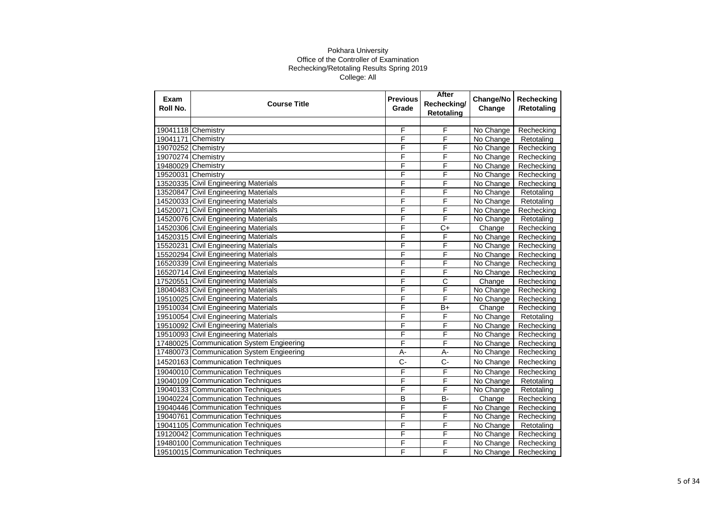| Exam<br>Roll No. | <b>Course Title</b>                      | <b>Previous</b><br>Grade | After<br>Rechecking/<br><b>Retotaling</b> | Change/No<br>Change | Rechecking<br>/Retotaling |
|------------------|------------------------------------------|--------------------------|-------------------------------------------|---------------------|---------------------------|
|                  |                                          |                          |                                           |                     |                           |
|                  | 19041118 Chemistry                       | F                        | F                                         | No Change           | Rechecking                |
|                  | 19041171 Chemistry                       | F                        | F                                         | No Change           | Retotaling                |
|                  | 19070252 Chemistry                       | F                        | F                                         | No Change           | Rechecking                |
|                  | 19070274 Chemistry                       | F                        | F                                         | No Change           | Rechecking                |
|                  | 19480029 Chemistry                       | F                        | F                                         | No Change           | Rechecking                |
|                  | 19520031 Chemistry                       | F                        | F                                         | No Change           | Rechecking                |
|                  | 13520335 Civil Engineering Materials     | F                        | F                                         | No Change           | Rechecking                |
|                  | 13520847 Civil Engineering Materials     | F                        | F                                         | No Change           | Retotaling                |
|                  | 14520033 Civil Engineering Materials     | F                        | F                                         | No Change           | Retotaling                |
|                  | 14520071 Civil Engineering Materials     | F                        | F                                         | No Change           | Rechecking                |
|                  | 14520076 Civil Engineering Materials     | F                        | F                                         | No Change           | Retotaling                |
|                  | 14520306 Civil Engineering Materials     | F                        | $C+$                                      | Change              | Rechecking                |
|                  | 14520315 Civil Engineering Materials     | F                        | F                                         | No Change           | Rechecking                |
|                  | 15520231 Civil Engineering Materials     | F                        | F                                         | No Change           | Rechecking                |
|                  | 15520294 Civil Engineering Materials     | F                        | F                                         | No Change           | Rechecking                |
|                  | 16520339 Civil Engineering Materials     | F                        | F                                         | No Change           | Rechecking                |
|                  | 16520714 Civil Engineering Materials     | F                        | F                                         | No Change           | Rechecking                |
|                  | 17520551 Civil Engineering Materials     | F                        | $\overline{\text{c}}$                     | Change              | Rechecking                |
|                  | 18040483 Civil Engineering Materials     | F                        | F                                         | No Change           | Rechecking                |
|                  | 19510025 Civil Engineering Materials     | F                        | F                                         | No Change           | Rechecking                |
|                  | 19510034 Civil Engineering Materials     | F                        | $B+$                                      | Change              | Rechecking                |
|                  | 19510054 Civil Engineering Materials     | F                        | F                                         | No Change           | Retotaling                |
|                  | 19510092 Civil Engineering Materials     | F                        | F                                         | No Change           | Rechecking                |
|                  | 19510093 Civil Engineering Materials     | F                        | F                                         | No Change           | Rechecking                |
|                  | 17480025 Communication System Engieering | F                        | F                                         | No Change           | Rechecking                |
|                  | 17480073 Communication System Engieering | $A -$                    | A-                                        | No Change           | Rechecking                |
|                  | 14520163 Communication Techniques        | $C -$                    | $C -$                                     | No Change           | Rechecking                |
|                  | 19040010 Communication Techniques        | F                        | F                                         | No Change           | Rechecking                |
|                  | 19040109 Communication Techniques        | F                        | F                                         | No Change           | Retotaling                |
|                  | 19040133 Communication Techniques        | F                        | F                                         | No Change           | Retotaling                |
|                  | 19040224 Communication Techniques        | B                        | <b>B-</b>                                 | Change              | Rechecking                |
|                  | 19040446 Communication Techniques        | F                        | F                                         | No Change           | Rechecking                |
|                  | 19040761 Communication Techniques        | F                        | F                                         | No Change           | Rechecking                |
|                  | 19041105 Communication Techniques        | F                        | F                                         | No Change           | Retotaling                |
|                  | 19120042 Communication Techniques        | F                        | F                                         | No Change           | Rechecking                |
|                  | 19480100 Communication Techniques        | F                        | F                                         | No Change           | Rechecking                |
|                  | 19510015 Communication Techniques        | F                        | F                                         | No Change           | Rechecking                |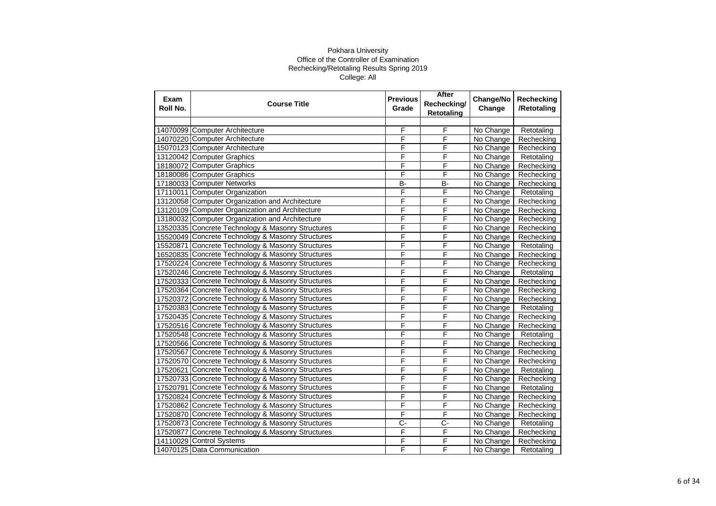| Exam<br>Roll No. | <b>Course Title</b>                               | <b>Previous</b><br>Grade | After<br>Rechecking/<br><b>Retotaling</b> | Change/No<br>Change | <b>Rechecking</b><br>/Retotaling |
|------------------|---------------------------------------------------|--------------------------|-------------------------------------------|---------------------|----------------------------------|
|                  |                                                   |                          |                                           |                     |                                  |
|                  | 14070099 Computer Architecture                    | F                        | F                                         | No Change           | Retotaling                       |
|                  | 14070220 Computer Architecture                    | F                        | F                                         | No Change           | Rechecking                       |
|                  | 15070123 Computer Architecture                    | F                        | F                                         | No Change           | Rechecking                       |
|                  | 13120042 Computer Graphics                        | F                        | F                                         | No Change           | Retotaling                       |
|                  | 18180072 Computer Graphics                        | F                        | F                                         | No Change           | Rechecking                       |
|                  | 18180086 Computer Graphics                        | F                        | F                                         | No Change           | Rechecking                       |
|                  | 17180033 Computer Networks                        | $\overline{B}$           | $\overline{B}$                            | No Change           | Rechecking                       |
|                  | 17110011 Computer Organization                    | F                        | F                                         | No Change           | Retotaling                       |
|                  | 13120058 Computer Organization and Architecture   | F                        | F                                         | No Change           | Rechecking                       |
|                  | 13120109 Computer Organization and Architecture   | F                        | F                                         | No Change           | Rechecking                       |
|                  | 13180032 Computer Organization and Architecture   | F                        | F                                         | No Change           | Rechecking                       |
|                  | 13520335 Concrete Technology & Masonry Structures | F                        | F                                         | No Change           | Rechecking                       |
|                  | 15520049 Concrete Technology & Masonry Structures | F                        | F                                         | No Change           | Rechecking                       |
|                  | 15520871 Concrete Technology & Masonry Structures | F                        | F                                         | No Change           | Retotaling                       |
|                  | 16520835 Concrete Technology & Masonry Structures | F                        | F                                         | No Change           | Rechecking                       |
|                  | 17520224 Concrete Technology & Masonry Structures | F                        | F                                         | No Change           | Rechecking                       |
|                  | 17520246 Concrete Technology & Masonry Structures | F                        | F                                         | No Change           | Retotaling                       |
|                  | 17520333 Concrete Technology & Masonry Structures | F                        | F                                         | No Change           | Rechecking                       |
|                  | 17520364 Concrete Technology & Masonry Structures | F                        | F                                         | No Change           | Rechecking                       |
|                  | 17520372 Concrete Technology & Masonry Structures | F                        | F                                         | No Change           | Rechecking                       |
|                  | 17520383 Concrete Technology & Masonry Structures | F                        | F                                         | No Change           | Retotaling                       |
|                  | 17520435 Concrete Technology & Masonry Structures | F                        | F                                         | No Change           | Rechecking                       |
|                  | 17520516 Concrete Technology & Masonry Structures | F                        | F                                         | No Change           | Rechecking                       |
|                  | 17520548 Concrete Technology & Masonry Structures | F                        | F                                         | No Change           | Retotaling                       |
|                  | 17520566 Concrete Technology & Masonry Structures | F                        | F                                         | No Change           | Rechecking                       |
|                  | 17520567 Concrete Technology & Masonry Structures | F                        | F                                         | No Change           | Rechecking                       |
|                  | 17520570 Concrete Technology & Masonry Structures | F                        | F                                         | No Change           | Rechecking                       |
|                  | 17520621 Concrete Technology & Masonry Structures | F                        | F                                         | No Change           | Retotaling                       |
|                  | 17520733 Concrete Technology & Masonry Structures | F                        | F                                         | No Change           | Rechecking                       |
|                  | 17520791 Concrete Technology & Masonry Structures | F                        | F                                         | No Change           | Retotaling                       |
|                  | 17520824 Concrete Technology & Masonry Structures | F                        | F                                         | No Change           | Rechecking                       |
|                  | 17520862 Concrete Technology & Masonry Structures | F                        | F                                         | No Change           | Rechecking                       |
|                  | 17520870 Concrete Technology & Masonry Structures | F                        | F                                         | No Change           | Rechecking                       |
|                  | 17520873 Concrete Technology & Masonry Structures | $\overline{C}$           | C-                                        | No Change           | Retotaling                       |
|                  | 17520877 Concrete Technology & Masonry Structures | F                        | F                                         | No Change           | Rechecking                       |
|                  | 14110029 Control Systems                          | F                        | F                                         | No Change           | Rechecking                       |
|                  | 14070125 Data Communication                       | F                        | F                                         | No Change           | Retotaling                       |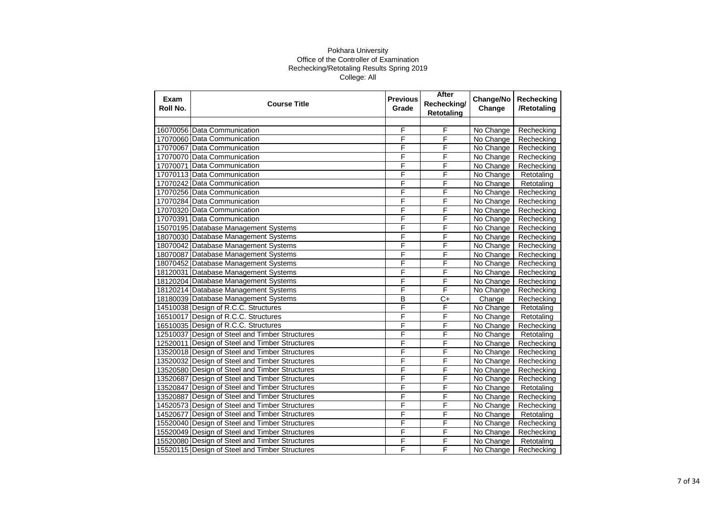| Exam<br>Roll No. | <b>Course Title</b>                            | <b>Previous</b><br>Grade | After<br>Rechecking/<br><b>Retotaling</b> | Change/No<br>Change | Rechecking<br>/Retotaling |
|------------------|------------------------------------------------|--------------------------|-------------------------------------------|---------------------|---------------------------|
|                  |                                                |                          |                                           |                     |                           |
|                  | 16070056 Data Communication                    | F                        | F                                         | No Change           | Rechecking                |
|                  | 17070060 Data Communication                    | F                        | F                                         | No Change           | Rechecking                |
|                  | 17070067 Data Communication                    | F                        | F                                         | No Change           | Rechecking                |
|                  | 17070070 Data Communication                    | F                        | F                                         | No Change           | Rechecking                |
|                  | 17070071 Data Communication                    | F                        | F                                         | No Change           | Rechecking                |
|                  | 17070113 Data Communication                    | F                        | F                                         | No Change           | Retotaling                |
|                  | 17070242 Data Communication                    | F                        | F                                         | No Change           | Retotaling                |
|                  | 17070256 Data Communication                    | F                        | F                                         | No Change           | Rechecking                |
|                  | 17070284 Data Communication                    | F                        | F                                         | No Change           | Rechecking                |
|                  | 17070320 Data Communication                    | F                        | F                                         | No Change           | Rechecking                |
|                  | 17070391 Data Communication                    | F                        | F                                         | No Change           | Rechecking                |
|                  | 15070195 Database Management Systems           | F                        | F                                         | No Change           | Rechecking                |
|                  | 18070030 Database Management Systems           | F                        | F                                         | No Change           | Rechecking                |
|                  | 18070042 Database Management Systems           | F                        | F                                         | No Change           | Rechecking                |
|                  | 18070087 Database Management Systems           | F                        | F                                         | No Change           | Rechecking                |
|                  | 18070452 Database Management Systems           | F                        | F                                         | No Change           | Rechecking                |
|                  | 18120031 Database Management Systems           | F                        | F                                         | No Change           | Rechecking                |
|                  | 18120204 Database Management Systems           | F                        | F                                         | No Change           | Rechecking                |
|                  | 18120214 Database Management Systems           | F                        | F                                         | No Change           | Rechecking                |
|                  | 18180039 Database Management Systems           | B                        | $C+$                                      | Change              | Rechecking                |
|                  | 14510038 Design of R.C.C. Structures           | F                        | F                                         | No Change           | Retotaling                |
|                  | 16510017 Design of R.C.C. Structures           | F                        | F                                         | No Change           | Retotaling                |
|                  | 16510035 Design of R.C.C. Structures           | F                        | F                                         | No Change           | Rechecking                |
|                  | 12510037 Design of Steel and Timber Structures | F                        | F                                         | No Change           | Retotaling                |
|                  | 12520011 Design of Steel and Timber Structures | F                        | F                                         | No Change           | Rechecking                |
|                  | 13520018 Design of Steel and Timber Structures | F                        | F                                         | No Change           | Rechecking                |
|                  | 13520032 Design of Steel and Timber Structures | F                        | F                                         | No Change           | Rechecking                |
|                  | 13520580 Design of Steel and Timber Structures | F                        | F                                         | No Change           | Rechecking                |
|                  | 13520687 Design of Steel and Timber Structures | F                        | F                                         | No Change           | Rechecking                |
| 13520847         | Design of Steel and Timber Structures          | F                        | F                                         | No Change           | Retotaling                |
| 13520887         | Design of Steel and Timber Structures          | F                        | F                                         | No Change           | Rechecking                |
|                  | 14520573 Design of Steel and Timber Structures | F                        | F                                         | No Change           | Rechecking                |
| 14520677         | Design of Steel and Timber Structures          | F                        | F                                         | No Change           | Retotaling                |
|                  | 15520040 Design of Steel and Timber Structures | F                        | F                                         | No Change           | Rechecking                |
|                  | 15520049 Design of Steel and Timber Structures | F                        | F                                         | No Change           | Rechecking                |
|                  | 15520080 Design of Steel and Timber Structures | F                        | F                                         | No Change           | Retotaling                |
|                  | 15520115 Design of Steel and Timber Structures | F                        | F                                         | No Change           | Rechecking                |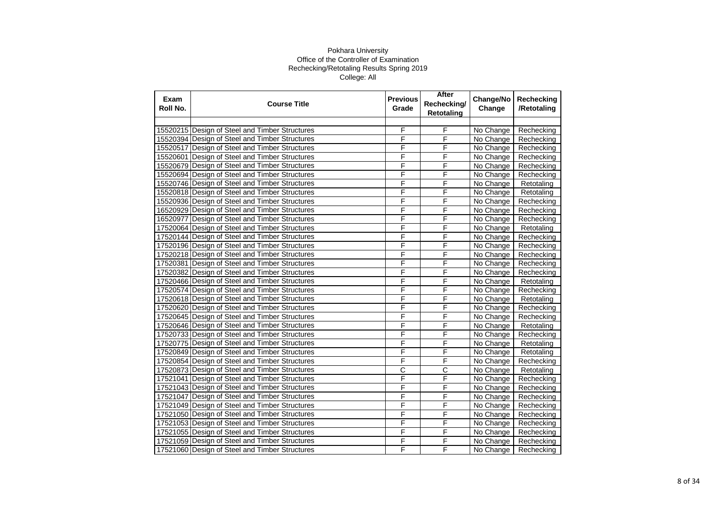| Exam<br>Roll No. | <b>Course Title</b>                            | <b>Previous</b><br>Grade | After<br>Rechecking/<br><b>Retotaling</b> | Change/No<br>Change | Rechecking<br>/Retotaling |
|------------------|------------------------------------------------|--------------------------|-------------------------------------------|---------------------|---------------------------|
|                  |                                                |                          |                                           |                     |                           |
|                  | 15520215 Design of Steel and Timber Structures | F                        | F                                         | No Change           | Rechecking                |
|                  | 15520394 Design of Steel and Timber Structures | F                        | $\overline{F}$                            | No Change           | Rechecking                |
|                  | 15520517 Design of Steel and Timber Structures | F                        | F                                         | No Change           | Rechecking                |
|                  | 15520601 Design of Steel and Timber Structures | F                        | F                                         | No Change           | Rechecking                |
|                  | 15520679 Design of Steel and Timber Structures | F                        | F                                         | No Change           | Rechecking                |
|                  | 15520694 Design of Steel and Timber Structures | F                        | F                                         | No Change           | Rechecking                |
|                  | 15520746 Design of Steel and Timber Structures | F                        | F                                         | No Change           | Retotaling                |
|                  | 15520818 Design of Steel and Timber Structures | F                        | F                                         | No Change           | Retotaling                |
|                  | 15520936 Design of Steel and Timber Structures | F                        | F                                         | No Change           | Rechecking                |
|                  | 16520929 Design of Steel and Timber Structures | F                        | F                                         | No Change           | Rechecking                |
|                  | 16520977 Design of Steel and Timber Structures | F                        | F                                         | No Change           | Rechecking                |
|                  | 17520064 Design of Steel and Timber Structures | F                        | F                                         | No Change           | Retotaling                |
|                  | 17520144 Design of Steel and Timber Structures | F                        | F                                         | No Change           | Rechecking                |
|                  | 17520196 Design of Steel and Timber Structures | F                        | F                                         | No Change           | Rechecking                |
|                  | 17520218 Design of Steel and Timber Structures | F                        | F                                         | No Change           | Rechecking                |
|                  | 17520381 Design of Steel and Timber Structures | F                        | F                                         | No Change           | Rechecking                |
|                  | 17520382 Design of Steel and Timber Structures | F                        | F                                         | No Change           | Rechecking                |
|                  | 17520466 Design of Steel and Timber Structures | F                        | F                                         | No Change           | Retotaling                |
|                  | 17520574 Design of Steel and Timber Structures | F                        | F                                         | No Change           | Rechecking                |
|                  | 17520618 Design of Steel and Timber Structures | F                        | F                                         | No Change           | Retotaling                |
|                  | 17520620 Design of Steel and Timber Structures | F                        | F                                         | No Change           | Rechecking                |
|                  | 17520645 Design of Steel and Timber Structures | F                        | F                                         | No Change           | Rechecking                |
|                  | 17520646 Design of Steel and Timber Structures | F                        | F                                         | No Change           | Retotaling                |
|                  | 17520733 Design of Steel and Timber Structures | F                        | F                                         | No Change           | Rechecking                |
|                  | 17520775 Design of Steel and Timber Structures | F                        | F                                         | No Change           | Retotaling                |
|                  | 17520849 Design of Steel and Timber Structures | F                        | F                                         | No Change           | Retotaling                |
|                  | 17520854 Design of Steel and Timber Structures | F                        | F                                         | No Change           | Rechecking                |
|                  | 17520873 Design of Steel and Timber Structures | $\overline{\text{c}}$    | $\overline{C}$                            | No Change           | Retotaling                |
|                  | 17521041 Design of Steel and Timber Structures | F                        | F                                         | No Change           | Rechecking                |
|                  | 17521043 Design of Steel and Timber Structures | F                        | F                                         | No Change           | Rechecking                |
|                  | 17521047 Design of Steel and Timber Structures | F                        | F                                         | No Change           | Rechecking                |
|                  | 17521049 Design of Steel and Timber Structures | F                        | F                                         | No Change           | Rechecking                |
|                  | 17521050 Design of Steel and Timber Structures | F                        | F                                         | No Change           | Rechecking                |
|                  | 17521053 Design of Steel and Timber Structures | F                        | F                                         | No Change           | Rechecking                |
|                  | 17521055 Design of Steel and Timber Structures | F                        | F                                         | No Change           | Rechecking                |
|                  | 17521059 Design of Steel and Timber Structures | F                        | F                                         | No Change           | Rechecking                |
|                  | 17521060 Design of Steel and Timber Structures | F                        | F                                         | No Change           | Rechecking                |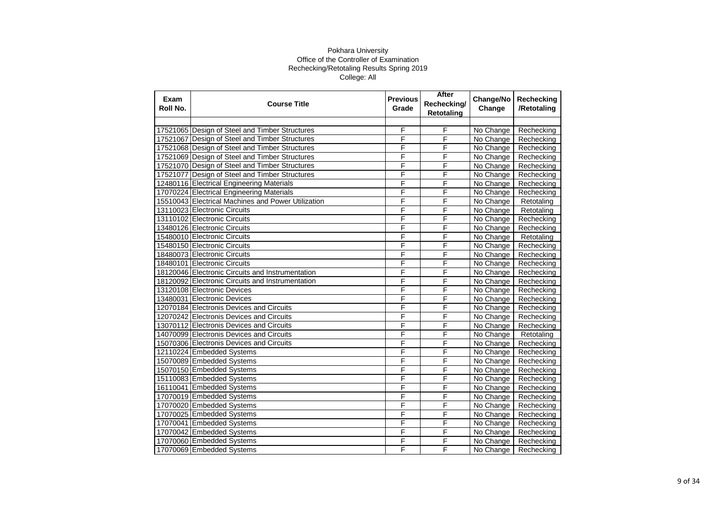| Exam<br>Roll No. | <b>Course Title</b>                                | <b>Previous</b><br>Grade | After<br>Rechecking/<br><b>Retotaling</b> | Change/No<br>Change | Rechecking<br>/Retotaling |
|------------------|----------------------------------------------------|--------------------------|-------------------------------------------|---------------------|---------------------------|
|                  |                                                    |                          |                                           |                     |                           |
|                  | 17521065 Design of Steel and Timber Structures     | F                        | F                                         | No Change           | Rechecking                |
|                  | 17521067 Design of Steel and Timber Structures     | F                        | $\overline{F}$                            | No Change           | Rechecking                |
|                  | 17521068 Design of Steel and Timber Structures     | F                        | F                                         | No Change           | Rechecking                |
|                  | 17521069 Design of Steel and Timber Structures     | F                        | F                                         | No Change           | Rechecking                |
|                  | 17521070 Design of Steel and Timber Structures     | F                        | F                                         | No Change           | Rechecking                |
|                  | 17521077 Design of Steel and Timber Structures     | F                        | F                                         | No Change           | Rechecking                |
|                  | 12480116 Electrical Engineering Materials          | F                        | F                                         | No Change           | Rechecking                |
|                  | 17070224 Electrical Engineering Materials          | F                        | F                                         | No Change           | Rechecking                |
|                  | 15510043 Electrical Machines and Power Utilization | F                        | F                                         | No Change           | Retotaling                |
|                  | 13110023 Electronic Circuits                       | F                        | F                                         | No Change           | Retotaling                |
|                  | 13110102 Electronic Circuits                       | F                        | F                                         | No Change           | Rechecking                |
|                  | 13480126 Electronic Circuits                       | F                        | F                                         | No Change           | Rechecking                |
|                  | 15480010 Electronic Circuits                       | F                        | F                                         | No Change           | Retotaling                |
|                  | 15480150 Electronic Circuits                       | F                        | F                                         | No Change           | Rechecking                |
|                  | 18480073 Electronic Circuits                       | Ē                        | F                                         | No Change           | Rechecking                |
|                  | 18480101 Electronic Circuits                       | F                        | F                                         | No Change           | Rechecking                |
|                  | 18120046 Electronic Circuits and Instrumentation   | F                        | F                                         | No Change           | Rechecking                |
|                  | 18120092 Electronic Circuits and Instrumentation   | F                        | F                                         | No Change           | Rechecking                |
|                  | 13120108 Electronic Devices                        | F                        | F                                         | No Change           | Rechecking                |
|                  | 13480031 Electronic Devices                        | F                        | F                                         | No Change           | Rechecking                |
|                  | 12070184 Electronis Devices and Circuits           | F                        | F                                         | No Change           | Rechecking                |
|                  | 12070242 Electronis Devices and Circuits           | F                        | F                                         | No Change           | Rechecking                |
|                  | 13070112 Electronis Devices and Circuits           | F                        | F                                         | No Change           | Rechecking                |
|                  | 14070099 Electronis Devices and Circuits           | F                        | F                                         | No Change           | Retotaling                |
|                  | 15070306 Electronis Devices and Circuits           | F                        | F                                         | No Change           | Rechecking                |
|                  | 12110224 Embedded Systems                          | F                        | F                                         | No Change           | Rechecking                |
|                  | 15070089 Embedded Systems                          | F                        | F                                         | No Change           | Rechecking                |
|                  | 15070150 Embedded Systems                          | F                        | F                                         | No Change           | Rechecking                |
|                  | 15110083 Embedded Systems                          | F                        | F                                         | No Change           | Rechecking                |
|                  | 16110041 Embedded Systems                          | F                        | F                                         | No Change           | Rechecking                |
|                  | 17070019 Embedded Systems                          | F                        | F                                         | No Change           | Rechecking                |
|                  | 17070020 Embedded Systems                          | F                        | $\overline{F}$                            | No Change           | Rechecking                |
|                  | 17070025 Embedded Systems                          | F                        | F                                         | No Change           | Rechecking                |
|                  | 17070041 Embedded Systems                          | F                        | $\overline{F}$                            | No Change           | Rechecking                |
|                  | 17070042 Embedded Systems                          | F                        | F                                         | No Change           | Rechecking                |
|                  | 17070060 Embedded Systems                          | F                        | F                                         | No Change           | Rechecking                |
|                  | 17070069 Embedded Systems                          | F                        | F                                         | No Change           | Rechecking                |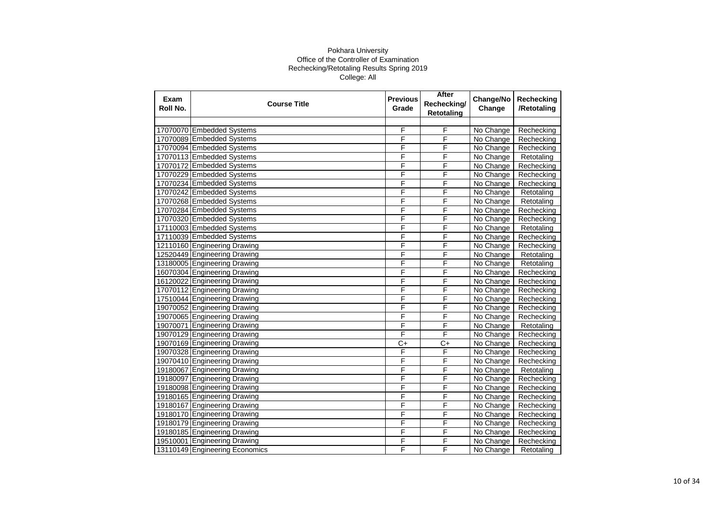| Exam<br>Roll No. | <b>Course Title</b>            | <b>Previous</b><br>Grade | After<br>Rechecking/<br><b>Retotaling</b> | Change/No<br>Change | Rechecking<br>/Retotaling |
|------------------|--------------------------------|--------------------------|-------------------------------------------|---------------------|---------------------------|
|                  |                                |                          |                                           |                     |                           |
|                  | 17070070 Embedded Systems      | F                        | F                                         | No Change           | Rechecking                |
|                  | 17070089 Embedded Systems      | F                        | F                                         | No Change           | Rechecking                |
|                  | 17070094 Embedded Systems      | F                        | F                                         | No Change           | Rechecking                |
|                  | 17070113 Embedded Systems      | F                        | F                                         | No Change           | Retotaling                |
|                  | 17070172 Embedded Systems      | F                        | F                                         | No Change           | Rechecking                |
|                  | 17070229 Embedded Systems      | F                        | F                                         | No Change           | Rechecking                |
|                  | 17070234 Embedded Systems      | F                        | F                                         | No Change           | Rechecking                |
|                  | 17070242 Embedded Systems      | F                        | F                                         | No Change           | Retotaling                |
|                  | 17070268 Embedded Systems      | F                        | F                                         | No Change           | Retotaling                |
|                  | 17070284 Embedded Systems      | F                        | F                                         | No Change           | Rechecking                |
|                  | 17070320 Embedded Systems      | F                        | F                                         | No Change           | Rechecking                |
|                  | 17110003 Embedded Systems      | F                        | F                                         | No Change           | Retotaling                |
|                  | 17110039 Embedded Systems      | F                        | F                                         | No Change           | Rechecking                |
|                  | 12110160 Engineering Drawing   | F                        | F                                         | No Change           | Rechecking                |
|                  | 12520449 Engineering Drawing   | F                        | F                                         | No Change           | Retotaling                |
|                  | 13180005 Engineering Drawing   | F                        | F                                         | No Change           | Retotaling                |
|                  | 16070304 Engineering Drawing   | F                        | F                                         | No Change           | Rechecking                |
|                  | 16120022 Engineering Drawing   | F                        | F                                         | No Change           | Rechecking                |
|                  | 17070112 Engineering Drawing   | F                        | F                                         | No Change           | Rechecking                |
|                  | 17510044 Engineering Drawing   | F                        | F                                         | No Change           | Rechecking                |
|                  | 19070052 Engineering Drawing   | F                        | F                                         | No Change           | Rechecking                |
|                  | 19070065 Engineering Drawing   | F                        | F                                         | No Change           | Rechecking                |
|                  | 19070071 Engineering Drawing   | F                        | F                                         | No Change           | Retotaling                |
|                  | 19070129 Engineering Drawing   | F                        | F                                         | No Change           | Rechecking                |
|                  | 19070169 Engineering Drawing   | $C+$                     | $C+$                                      | No Change           | Rechecking                |
|                  | 19070328 Engineering Drawing   | F                        | F                                         | No Change           | Rechecking                |
|                  | 19070410 Engineering Drawing   | F                        | F                                         | No Change           | Rechecking                |
|                  | 19180067 Engineering Drawing   | F                        | F                                         | No Change           | Retotaling                |
|                  | 19180097 Engineering Drawing   | F                        | F                                         | No Change           | Rechecking                |
|                  | 19180098 Engineering Drawing   | F                        | F                                         | No Change           | Rechecking                |
|                  | 19180165 Engineering Drawing   | F                        | F                                         | No Change           | Rechecking                |
|                  | 19180167 Engineering Drawing   | F                        | F                                         | No Change           | Rechecking                |
|                  | 19180170 Engineering Drawing   | F                        | F                                         | No Change           | Rechecking                |
|                  | 19180179 Engineering Drawing   | F                        | F                                         | No Change           | Rechecking                |
|                  | 19180185 Engineering Drawing   | F                        | F                                         | No Change           | Rechecking                |
|                  | 19510001 Engineering Drawing   | F                        | F                                         | No Change           | Rechecking                |
|                  | 13110149 Engineering Economics | F                        | F                                         | No Change           | Retotaling                |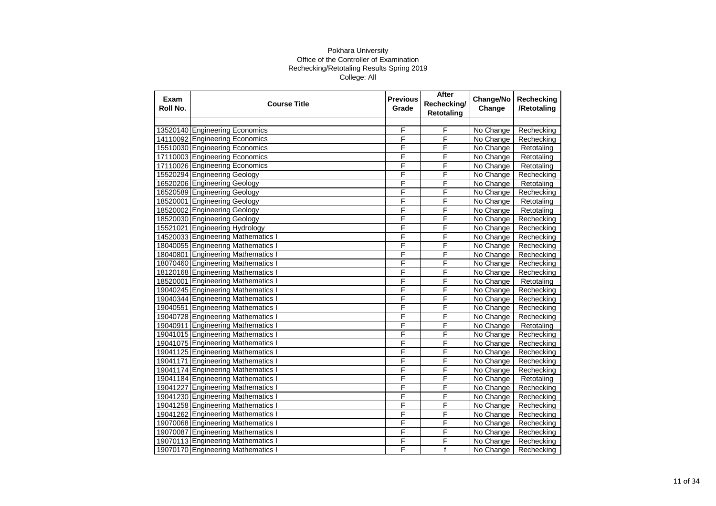| Exam<br>Roll No. | <b>Course Title</b>                | <b>Previous</b><br>Grade | After<br>Rechecking/<br><b>Retotaling</b> | Change/No<br>Change | Rechecking<br>/Retotaling |
|------------------|------------------------------------|--------------------------|-------------------------------------------|---------------------|---------------------------|
|                  |                                    |                          |                                           |                     |                           |
|                  | 13520140 Engineering Economics     | F                        | F                                         | No Change           | Rechecking                |
|                  | 14110092 Engineering Economics     | F                        | F                                         | No Change           | Rechecking                |
|                  | 15510030 Engineering Economics     | F                        | F                                         | No Change           | Retotaling                |
|                  | 17110003 Engineering Economics     | F                        | F                                         | No Change           | Retotaling                |
|                  | 17110026 Engineering Economics     | F                        | F                                         | No Change           | Retotaling                |
|                  | 15520294 Engineering Geology       | F                        | F                                         | No Change           | Rechecking                |
|                  | 16520206 Engineering Geology       | F                        | F                                         | No Change           | Retotaling                |
|                  | 16520589 Engineering Geology       | F                        | F                                         | No Change           | Rechecking                |
|                  | 18520001 Engineering Geology       | F                        | F                                         | No Change           | Retotaling                |
|                  | 18520002 Engineering Geology       | F                        | F                                         | No Change           | Retotaling                |
|                  | 18520030 Engineering Geology       | F                        | F                                         | No Change           | Rechecking                |
|                  | 15521021 Engineering Hydrology     | F                        | F                                         | No Change           | Rechecking                |
|                  | 14520033 Engineering Mathematics   | F                        | F                                         | No Change           | Rechecking                |
|                  | 18040055 Engineering Mathematics   | F                        | F                                         | No Change           | Rechecking                |
|                  | 18040801 Engineering Mathematics   | F                        | F                                         | No Change           | Rechecking                |
|                  | 18070460 Engineering Mathematics I | F                        | F                                         | No Change           | Rechecking                |
|                  | 18120168 Engineering Mathematics I | F                        | F                                         | No Change           | Rechecking                |
|                  | 18520001 Engineering Mathematics   | F                        | F                                         | No Change           | Retotaling                |
|                  | 19040245 Engineering Mathematics   | F                        | F                                         | No Change           | Rechecking                |
|                  | 19040344 Engineering Mathematics   | F                        | F                                         | No Change           | Rechecking                |
|                  | 19040551 Engineering Mathematics I | F                        | F                                         | No Change           | Rechecking                |
|                  | 19040728 Engineering Mathematics I | F                        | F                                         | No Change           | Rechecking                |
|                  | 19040911 Engineering Mathematics I | F                        | F                                         | No Change           | Retotaling                |
|                  | 19041015 Engineering Mathematics   | F                        | F                                         | No Change           | Rechecking                |
|                  | 19041075 Engineering Mathematics I | F                        | F                                         | No Change           | Rechecking                |
|                  | 19041125 Engineering Mathematics   | F                        | F                                         | No Change           | Rechecking                |
|                  | 19041171 Engineering Mathematics I | F                        | F                                         | No Change           | Rechecking                |
|                  | 19041174 Engineering Mathematics I | F                        | F                                         | No Change           | Rechecking                |
|                  | 19041184 Engineering Mathematics   | F                        | F                                         | No Change           | Retotaling                |
|                  | 19041227 Engineering Mathematics   | F                        | F                                         | No Change           | Rechecking                |
|                  | 19041230 Engineering Mathematics   | F                        | F                                         | No Change           | Rechecking                |
|                  | 19041258 Engineering Mathematics   | F                        | F                                         | No Change           | Rechecking                |
|                  | 19041262 Engineering Mathematics I | F                        | F                                         | No Change           | Rechecking                |
|                  | 19070068 Engineering Mathematics I | F                        | F                                         | No Change           | Rechecking                |
|                  | 19070087 Engineering Mathematics   | F                        | F                                         | No Change           | Rechecking                |
|                  | 19070113 Engineering Mathematics   | F                        | F                                         | No Change           | Rechecking                |
|                  | 19070170 Engineering Mathematics I | F                        | $\mathsf f$                               | No Change           | Rechecking                |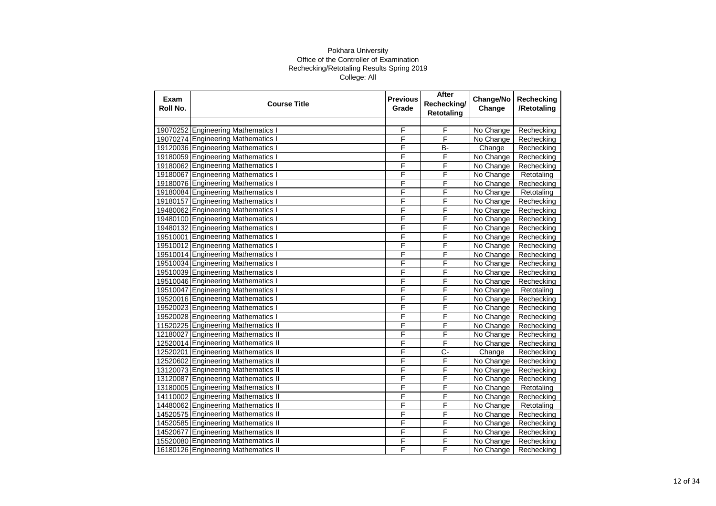| Exam<br>Roll No. | <b>Course Title</b>                 | <b>Previous</b><br>Grade | After<br>Rechecking/<br><b>Retotaling</b> | Change/No<br>Change | Rechecking<br>/Retotaling |
|------------------|-------------------------------------|--------------------------|-------------------------------------------|---------------------|---------------------------|
|                  |                                     |                          |                                           |                     |                           |
|                  | 19070252 Engineering Mathematics    | F                        | F                                         | No Change           | Rechecking                |
|                  | 19070274 Engineering Mathematics    | F                        | F                                         | No Change           | Rechecking                |
|                  | 19120036 Engineering Mathematics I  | F                        | B-                                        | Change              | Rechecking                |
|                  | 19180059 Engineering Mathematics I  | F                        | F                                         | No Change           | Rechecking                |
|                  | 19180062 Engineering Mathematics I  | F                        | F                                         | No Change           | Rechecking                |
|                  | 19180067 Engineering Mathematics I  | F                        | F                                         | No Change           | Retotaling                |
|                  | 19180076 Engineering Mathematics I  | F                        | F                                         | No Change           | Rechecking                |
|                  | 19180084 Engineering Mathematics    | F                        | F                                         | No Change           | Retotaling                |
|                  | 19180157 Engineering Mathematics I  | F                        | F                                         | No Change           | Rechecking                |
|                  | 19480062 Engineering Mathematics I  | F                        | F                                         | No Change           | Rechecking                |
|                  | 19480100 Engineering Mathematics    | F                        | F                                         | No Change           | Rechecking                |
|                  | 19480132 Engineering Mathematics I  | F                        | F                                         | No Change           | Rechecking                |
|                  | 19510001 Engineering Mathematics    | F                        | F                                         | No Change           | Rechecking                |
|                  | 19510012 Engineering Mathematics    | F                        | F                                         | No Change           | Rechecking                |
|                  | 19510014 Engineering Mathematics    | F                        | F                                         | No Change           | Rechecking                |
|                  | 19510034 Engineering Mathematics I  | F                        | F                                         | No Change           | Rechecking                |
|                  | 19510039 Engineering Mathematics I  | F                        | F                                         | No Change           | Rechecking                |
|                  | 19510046 Engineering Mathematics    | F                        | F                                         | No Change           | Rechecking                |
|                  | 19510047 Engineering Mathematics    | F                        | F                                         | No Change           | Retotaling                |
|                  | 19520016 Engineering Mathematics    | F                        | F                                         | No Change           | Rechecking                |
|                  | 19520023 Engineering Mathematics I  | F                        | F                                         | No Change           | Rechecking                |
|                  | 19520028 Engineering Mathematics I  | F                        | F                                         | No Change           | Rechecking                |
|                  | 11520225 Engineering Mathematics II | F                        | F                                         | No Change           | Rechecking                |
|                  | 12180027 Engineering Mathematics II | F                        | F                                         | No Change           | Rechecking                |
|                  | 12520014 Engineering Mathematics II | F                        | F                                         | No Change           | Rechecking                |
|                  | 12520201 Engineering Mathematics II | F                        | $C -$                                     | Change              | Rechecking                |
|                  | 12520602 Engineering Mathematics II | F                        | F                                         | No Change           | Rechecking                |
|                  | 13120073 Engineering Mathematics II | F                        | F                                         | No Change           | Rechecking                |
|                  | 13120087 Engineering Mathematics II | F                        | F                                         | No Change           | Rechecking                |
|                  | 13180005 Engineering Mathematics II | F                        | F                                         | No Change           | Retotaling                |
|                  | 14110002 Engineering Mathematics II | F                        | F                                         | No Change           | Rechecking                |
|                  | 14480062 Engineering Mathematics II | F                        | F                                         | No Change           | Retotaling                |
|                  | 14520575 Engineering Mathematics II | F                        | F                                         | No Change           | Rechecking                |
|                  | 14520585 Engineering Mathematics II | F                        | F                                         | No Change           | Rechecking                |
| 14520677         | <b>Engineering Mathematics II</b>   | F                        | F                                         | No Change           | Rechecking                |
|                  | 15520080 Engineering Mathematics II | F                        | F                                         | No Change           | Rechecking                |
|                  | 16180126 Engineering Mathematics II | F                        | F                                         | No Change           | Rechecking                |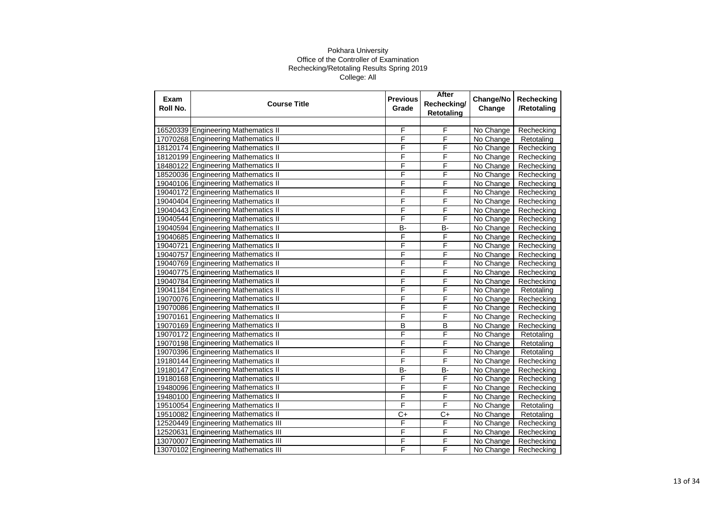| Exam<br>Roll No. | <b>Course Title</b>                  | <b>Previous</b><br>Grade | After<br>Rechecking/<br><b>Retotaling</b> | Change/No<br>Change | Rechecking<br>/Retotaling |
|------------------|--------------------------------------|--------------------------|-------------------------------------------|---------------------|---------------------------|
|                  |                                      |                          |                                           |                     |                           |
|                  | 16520339 Engineering Mathematics II  | F                        | F                                         | No Change           | Rechecking                |
|                  | 17070268 Engineering Mathematics II  | F                        | F                                         | No Change           | Retotaling                |
|                  | 18120174 Engineering Mathematics II  | F                        | F                                         | No Change           | Rechecking                |
|                  | 18120199 Engineering Mathematics II  | F                        | F                                         | No Change           | Rechecking                |
|                  | 18480122 Engineering Mathematics II  | F                        | F                                         | No Change           | Rechecking                |
|                  | 18520036 Engineering Mathematics II  | F                        | F                                         | No Change           | Rechecking                |
|                  | 19040106 Engineering Mathematics II  | F                        | F                                         | No Change           | Rechecking                |
|                  | 19040172 Engineering Mathematics II  | F                        | F                                         | No Change           | Rechecking                |
|                  | 19040404 Engineering Mathematics II  | F                        | F                                         | No Change           | Rechecking                |
|                  | 19040443 Engineering Mathematics II  | F                        | F                                         | No Change           | Rechecking                |
|                  | 19040544 Engineering Mathematics II  | F                        | F                                         | No Change           | Rechecking                |
|                  | 19040594 Engineering Mathematics II  | <b>B-</b>                | <b>B-</b>                                 | No Change           | Rechecking                |
|                  | 19040685 Engineering Mathematics II  | F                        | F                                         | No Change           | Rechecking                |
|                  | 19040721 Engineering Mathematics II  | F                        | F                                         | No Change           | Rechecking                |
|                  | 19040757 Engineering Mathematics II  | F                        | F                                         | No Change           | Rechecking                |
|                  | 19040769 Engineering Mathematics II  | F                        | F                                         | No Change           | Rechecking                |
|                  | 19040775 Engineering Mathematics II  | F                        | F                                         | No Change           | Rechecking                |
|                  | 19040784 Engineering Mathematics II  | F                        | F                                         | No Change           | Rechecking                |
|                  | 19041184 Engineering Mathematics II  | F                        | F                                         | No Change           | Retotaling                |
|                  | 19070076 Engineering Mathematics II  | F                        | F                                         | No Change           | Rechecking                |
|                  | 19070086 Engineering Mathematics II  | F                        | F                                         | No Change           | Rechecking                |
|                  | 19070161 Engineering Mathematics II  | F                        | F                                         | No Change           | Rechecking                |
|                  | 19070169 Engineering Mathematics II  | B                        | B                                         | No Change           | Rechecking                |
|                  | 19070172 Engineering Mathematics II  | F                        | F                                         | No Change           | Retotaling                |
|                  | 19070198 Engineering Mathematics II  | F                        | F                                         | No Change           | Retotaling                |
|                  | 19070396 Engineering Mathematics II  | F                        | F                                         | No Change           | Retotaling                |
|                  | 19180144 Engineering Mathematics II  | F                        | F                                         | No Change           | Rechecking                |
|                  | 19180147 Engineering Mathematics II  | B-                       | <b>B-</b>                                 | No Change           | Rechecking                |
|                  | 19180168 Engineering Mathematics II  | F                        | F                                         | No Change           | Rechecking                |
|                  | 19480096 Engineering Mathematics II  | F                        | F                                         | No Change           | Rechecking                |
|                  | 19480100 Engineering Mathematics II  | F                        | F                                         | No Change           | Rechecking                |
|                  | 19510054 Engineering Mathematics II  | F                        | F                                         | No Change           | Retotaling                |
|                  | 19510082 Engineering Mathematics II  | $C+$                     | C+                                        | No Change           | Retotaling                |
|                  | 12520449 Engineering Mathematics III | F                        | F                                         | No Change           | Rechecking                |
|                  | 12520631 Engineering Mathematics III | F                        | F                                         | No Change           | Rechecking                |
| 13070007         | <b>Engineering Mathematics III</b>   | F                        | F                                         | No Change           | Rechecking                |
|                  | 13070102 Engineering Mathematics III | F                        | F                                         | No Change           | Rechecking                |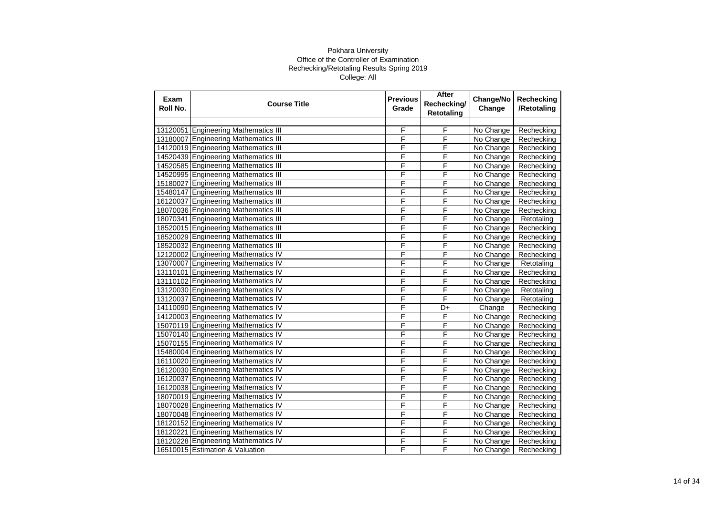| Exam<br>Roll No. | <b>Course Title</b>                  | <b>Previous</b><br>Grade | After<br>Rechecking/<br><b>Retotaling</b> | Change/No<br>Change | Rechecking<br>/Retotaling |
|------------------|--------------------------------------|--------------------------|-------------------------------------------|---------------------|---------------------------|
|                  |                                      |                          |                                           |                     |                           |
|                  | 13120051 Engineering Mathematics III | F                        | F                                         | No Change           | Rechecking                |
|                  | 13180007 Engineering Mathematics III | F                        | F                                         | No Change           | Rechecking                |
|                  | 14120019 Engineering Mathematics III | F                        | F                                         | No Change           | Rechecking                |
|                  | 14520439 Engineering Mathematics III | F                        | F                                         | No Change           | Rechecking                |
|                  | 14520585 Engineering Mathematics III | F                        | F                                         | No Change           | Rechecking                |
|                  | 14520995 Engineering Mathematics III | F                        | F                                         | No Change           | Rechecking                |
|                  | 15180027 Engineering Mathematics III | F                        | F                                         | No Change           | Rechecking                |
|                  | 15480147 Engineering Mathematics III | F                        | F                                         | No Change           | Rechecking                |
|                  | 16120037 Engineering Mathematics III | F                        | F                                         | No Change           | Rechecking                |
|                  | 18070036 Engineering Mathematics III | F                        | F                                         | No Change           | Rechecking                |
|                  | 18070341 Engineering Mathematics III | F                        | F                                         | No Change           | Retotaling                |
|                  | 18520015 Engineering Mathematics III | F                        | F                                         | No Change           | Rechecking                |
|                  | 18520029 Engineering Mathematics III | F                        | F                                         | No Change           | Rechecking                |
|                  | 18520032 Engineering Mathematics III | F                        | F                                         | No Change           | Rechecking                |
|                  | 12120002 Engineering Mathematics IV  | F                        | F                                         | No Change           | Rechecking                |
|                  | 13070007 Engineering Mathematics IV  | F                        | F                                         | No Change           | Retotaling                |
|                  | 13110101 Engineering Mathematics IV  | F                        | F                                         | No Change           | Rechecking                |
|                  | 13110102 Engineering Mathematics IV  | F                        | F                                         | No Change           | Rechecking                |
|                  | 13120030 Engineering Mathematics IV  | F                        | F                                         | No Change           | Retotaling                |
|                  | 13120037 Engineering Mathematics IV  | F                        | F                                         | No Change           | Retotaling                |
|                  | 14110090 Engineering Mathematics IV  | F                        | D+                                        | Change              | Rechecking                |
|                  | 14120003 Engineering Mathematics IV  | F                        | F                                         | No Change           | Rechecking                |
|                  | 15070119 Engineering Mathematics IV  | F                        | F                                         | No Change           | Rechecking                |
|                  | 15070140 Engineering Mathematics IV  | F                        | F                                         | No Change           | Rechecking                |
|                  | 15070155 Engineering Mathematics IV  | F                        | F                                         | No Change           | Rechecking                |
|                  | 15480004 Engineering Mathematics IV  | F                        | F                                         | No Change           | Rechecking                |
|                  | 16110020 Engineering Mathematics IV  | F                        | F                                         | No Change           | Rechecking                |
|                  | 16120030 Engineering Mathematics IV  | F                        | F                                         | No Change           | Rechecking                |
|                  | 16120037 Engineering Mathematics IV  | F                        | F                                         | No Change           | Rechecking                |
|                  | 16120038 Engineering Mathematics IV  | F                        | F                                         | No Change           | Rechecking                |
|                  | 18070019 Engineering Mathematics IV  | F                        | F                                         | No Change           | Rechecking                |
|                  | 18070028 Engineering Mathematics IV  | F                        | F                                         | No Change           | Rechecking                |
|                  | 18070048 Engineering Mathematics IV  | F                        | F                                         | No Change           | Rechecking                |
|                  | 18120152 Engineering Mathematics IV  | F                        | F                                         | No Change           | Rechecking                |
|                  | 18120221 Engineering Mathematics IV  | F                        | F                                         | No Change           | Rechecking                |
|                  | 18120228 Engineering Mathematics IV  | F                        | F                                         | No Change           | Rechecking                |
|                  | 16510015 Estimation & Valuation      | F                        | F                                         | No Change           | Rechecking                |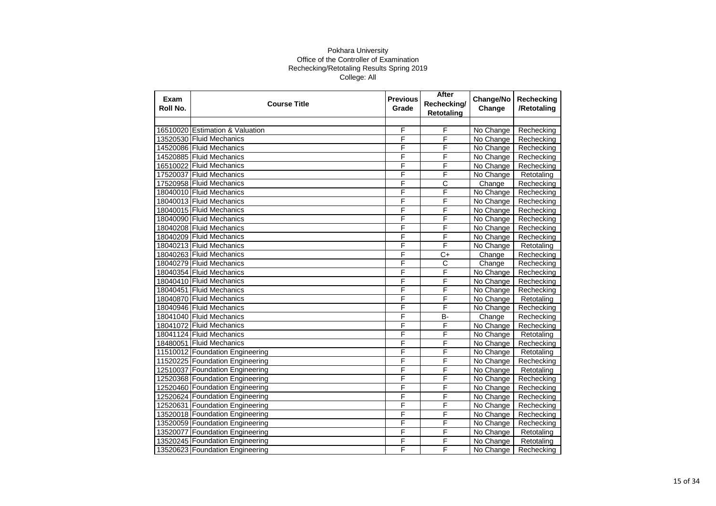| Exam<br>Roll No. | <b>Course Title</b>             | <b>Previous</b><br>Grade | After<br>Rechecking/<br><b>Retotaling</b> | Change/No<br>Change | Rechecking<br>/Retotaling |
|------------------|---------------------------------|--------------------------|-------------------------------------------|---------------------|---------------------------|
|                  |                                 |                          |                                           |                     |                           |
|                  | 16510020 Estimation & Valuation | F                        | F                                         | No Change           | Rechecking                |
|                  | 13520530 Fluid Mechanics        | F                        | F                                         | No Change           | Rechecking                |
|                  | 14520086 Fluid Mechanics        | F                        | F                                         | No Change           | Rechecking                |
|                  | 14520885 Fluid Mechanics        | F                        | F                                         | No Change           | Rechecking                |
|                  | 16510022 Fluid Mechanics        | F                        | F                                         | No Change           | Rechecking                |
|                  | 17520037 Fluid Mechanics        | F                        | F                                         | No Change           | Retotaling                |
|                  | 17520958 Fluid Mechanics        | F                        | $\overline{\text{c}}$                     | Change              | Rechecking                |
|                  | 18040010 Fluid Mechanics        | F                        | F                                         | No Change           | Rechecking                |
|                  | 18040013 Fluid Mechanics        | F                        | F                                         | No Change           | Rechecking                |
|                  | 18040015 Fluid Mechanics        | F                        | F                                         | No Change           | Rechecking                |
|                  | 18040090 Fluid Mechanics        | F                        | F                                         | No Change           | Rechecking                |
|                  | 18040208 Fluid Mechanics        | F                        | F                                         | No Change           | Rechecking                |
|                  | 18040209 Fluid Mechanics        | F                        | F                                         | No Change           | Rechecking                |
|                  | 18040213 Fluid Mechanics        | F                        | F                                         | No Change           | Retotaling                |
|                  | 18040263 Fluid Mechanics        | F                        | C+                                        | Change              | Rechecking                |
|                  | 18040279 Fluid Mechanics        | F                        | C                                         | Change              | Rechecking                |
|                  | 18040354 Fluid Mechanics        | F                        | F                                         | No Change           | Rechecking                |
|                  | 18040410 Fluid Mechanics        | F                        | F                                         | No Change           | Rechecking                |
|                  | 18040451 Fluid Mechanics        | F                        | F                                         | No Change           | Rechecking                |
|                  | 18040870 Fluid Mechanics        | F                        | F                                         | No Change           | Retotaling                |
|                  | 18040946 Fluid Mechanics        | F                        | F                                         | No Change           | Rechecking                |
|                  | 18041040 Fluid Mechanics        | F                        | B-                                        | Change              | Rechecking                |
|                  | 18041072 Fluid Mechanics        | F                        | F                                         | No Change           | Rechecking                |
|                  | 18041124 Fluid Mechanics        | F                        | F                                         | No Change           | Retotaling                |
|                  | 18480051 Fluid Mechanics        | F                        | F                                         | No Change           | Rechecking                |
|                  | 11510012 Foundation Engineering | F                        | F                                         | No Change           | Retotaling                |
|                  | 11520225 Foundation Engineering | F                        | F                                         | No Change           | Rechecking                |
|                  | 12510037 Foundation Engineering | F                        | F                                         | No Change           | Retotaling                |
|                  | 12520368 Foundation Engineering | F                        | F                                         | No Change           | Rechecking                |
|                  | 12520460 Foundation Engineering | F                        | F                                         | No Change           | Rechecking                |
|                  | 12520624 Foundation Engineering | F                        | F                                         | No Change           | Rechecking                |
|                  | 12520631 Foundation Engineering | F                        | F                                         | No Change           | Rechecking                |
|                  | 13520018 Foundation Engineering | F                        | F                                         | No Change           | Rechecking                |
|                  | 13520059 Foundation Engineering | F                        | F                                         | No Change           | Rechecking                |
|                  | 13520077 Foundation Engineering | F                        | F                                         | No Change           | Retotaling                |
|                  | 13520245 Foundation Engineering | F                        | F                                         | No Change           | Retotaling                |
|                  | 13520623 Foundation Engineering | F                        | F                                         | No Change           | Rechecking                |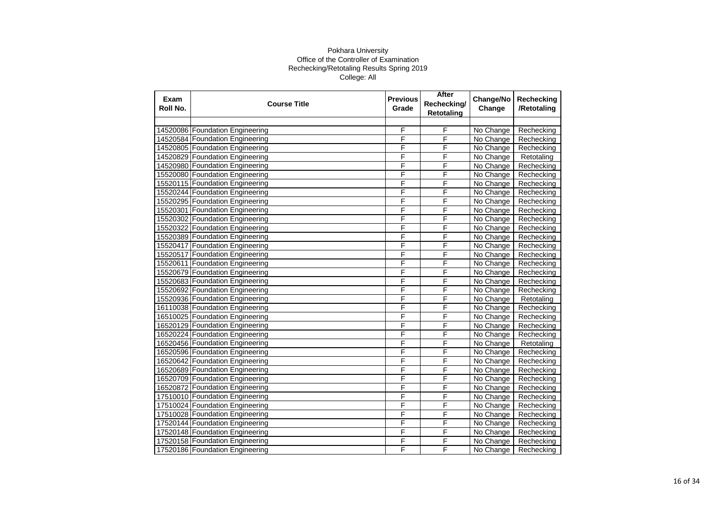| Exam<br>Roll No. | <b>Course Title</b>             | <b>Previous</b><br>Grade | After<br>Rechecking/<br><b>Retotaling</b> | Change/No<br>Change | Rechecking<br>/Retotaling |
|------------------|---------------------------------|--------------------------|-------------------------------------------|---------------------|---------------------------|
|                  |                                 |                          |                                           |                     |                           |
|                  | 14520086 Foundation Engineering | F                        | F                                         | No Change           | Rechecking                |
|                  | 14520584 Foundation Engineering | F                        | F                                         | No Change           | Rechecking                |
|                  | 14520805 Foundation Engineering | F                        | F                                         | No Change           | Rechecking                |
|                  | 14520829 Foundation Engineering | F                        | F                                         | No Change           | Retotaling                |
|                  | 14520980 Foundation Engineering | F                        | F                                         | No Change           | Rechecking                |
|                  | 15520080 Foundation Engineering | F                        | F                                         | No Change           | Rechecking                |
|                  | 15520115 Foundation Engineering | F                        | F                                         | No Change           | Rechecking                |
|                  | 15520244 Foundation Engineering | F                        | F                                         | No Change           | Rechecking                |
|                  | 15520295 Foundation Engineering | F                        | F                                         | No Change           | Rechecking                |
|                  | 15520301 Foundation Engineering | F                        | F                                         | No Change           | Rechecking                |
|                  | 15520302 Foundation Engineering | F                        | F                                         | No Change           | Rechecking                |
|                  | 15520322 Foundation Engineering | F                        | F                                         | No Change           | Rechecking                |
|                  | 15520389 Foundation Engineering | F                        | F                                         | No Change           | Rechecking                |
|                  | 15520417 Foundation Engineering | F                        | F                                         | No Change           | Rechecking                |
|                  | 15520517 Foundation Engineering | F                        | F                                         | No Change           | Rechecking                |
|                  | 15520611 Foundation Engineering | F                        | F                                         | No Change           | Rechecking                |
|                  | 15520679 Foundation Engineering | F                        | F                                         | No Change           | Rechecking                |
|                  | 15520683 Foundation Engineering | F                        | F                                         | No Change           | Rechecking                |
|                  | 15520692 Foundation Engineering | F                        | F                                         | No Change           | Rechecking                |
|                  | 15520936 Foundation Engineering | F                        | F                                         | No Change           | Retotaling                |
|                  | 16110038 Foundation Engineering | F                        | F                                         | No Change           | Rechecking                |
|                  | 16510025 Foundation Engineering | F                        | F                                         | No Change           | Rechecking                |
|                  | 16520129 Foundation Engineering | F                        | F                                         | No Change           | Rechecking                |
|                  | 16520224 Foundation Engineering | F                        | F                                         | No Change           | Rechecking                |
|                  | 16520456 Foundation Engineering | F                        | F                                         | No Change           | Retotaling                |
|                  | 16520596 Foundation Engineering | F                        | F                                         | No Change           | Rechecking                |
|                  | 16520642 Foundation Engineering | F                        | F                                         | No Change           | Rechecking                |
|                  | 16520689 Foundation Engineering | F                        | F                                         | No Change           | Rechecking                |
|                  | 16520709 Foundation Engineering | F                        | F                                         | No Change           | Rechecking                |
|                  | 16520872 Foundation Engineering | F                        | F                                         | No Change           | Rechecking                |
|                  | 17510010 Foundation Engineering | F                        | F                                         | No Change           | Rechecking                |
|                  | 17510024 Foundation Engineering | F                        | F                                         | No Change           | Rechecking                |
|                  | 17510028 Foundation Engineering | F                        | F                                         | No Change           | Rechecking                |
|                  | 17520144 Foundation Engineering | F                        | F                                         | No Change           | Rechecking                |
|                  | 17520148 Foundation Engineering | F                        | F                                         | No Change           | Rechecking                |
|                  | 17520158 Foundation Engineering | F                        | F                                         | No Change           | Rechecking                |
|                  | 17520186 Foundation Engineering | F                        | F                                         | No Change           | Rechecking                |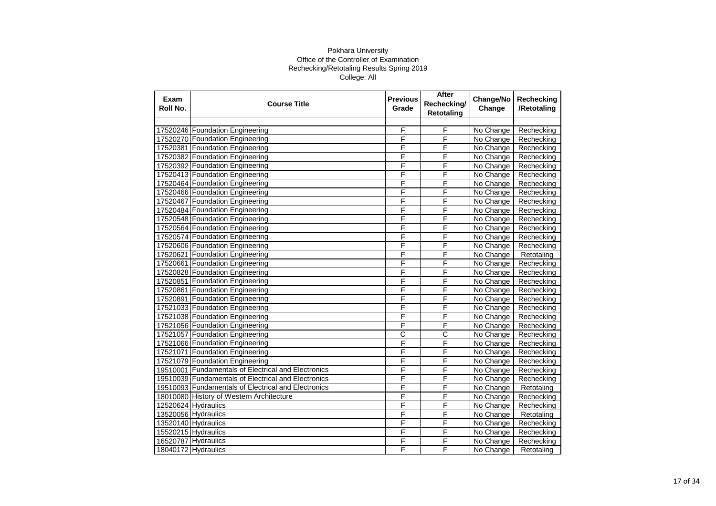| Exam<br>Roll No. | <b>Course Title</b>                                 | <b>Previous</b><br>Grade | After<br>Rechecking/<br><b>Retotaling</b> | Change/No<br>Change | Rechecking<br>/Retotaling |
|------------------|-----------------------------------------------------|--------------------------|-------------------------------------------|---------------------|---------------------------|
|                  |                                                     |                          |                                           |                     |                           |
|                  | 17520246 Foundation Engineering                     | F                        | F                                         | No Change           | Rechecking                |
|                  | 17520270 Foundation Engineering                     | F                        | F                                         | No Change           | Rechecking                |
|                  | 17520381 Foundation Engineering                     | F                        | F                                         | No Change           | Rechecking                |
|                  | 17520382 Foundation Engineering                     | F                        | F                                         | No Change           | Rechecking                |
|                  | 17520392 Foundation Engineering                     | F                        | F                                         | No Change           | Rechecking                |
|                  | 17520413 Foundation Engineering                     | F                        | F                                         | No Change           | Rechecking                |
|                  | 17520464 Foundation Engineering                     | F                        | F                                         | No Change           | Rechecking                |
|                  | 17520466 Foundation Engineering                     | F                        | F                                         | No Change           | Rechecking                |
|                  | 17520467 Foundation Engineering                     | F                        | F                                         | No Change           | Rechecking                |
|                  | 17520484 Foundation Engineering                     | F                        | F                                         | No Change           | Rechecking                |
|                  | 17520548 Foundation Engineering                     | F                        | F                                         | No Change           | Rechecking                |
|                  | 17520564 Foundation Engineering                     | F                        | F                                         | No Change           | Rechecking                |
|                  | 17520574 Foundation Engineering                     | F                        | F                                         | No Change           | Rechecking                |
|                  | 17520606 Foundation Engineering                     | Ē                        | F                                         | No Change           | Rechecking                |
|                  | 17520621 Foundation Engineering                     | F                        | F                                         | No Change           | Retotaling                |
|                  | 17520661 Foundation Engineering                     | F                        | F                                         | No Change           | Rechecking                |
|                  | 17520828 Foundation Engineering                     | F                        | F                                         | No Change           | Rechecking                |
|                  | 17520851 Foundation Engineering                     | F                        | F                                         | No Change           | Rechecking                |
|                  | 17520861 Foundation Engineering                     | F                        | F                                         | No Change           | Rechecking                |
|                  | 17520891 Foundation Engineering                     | F                        | F                                         | No Change           | Rechecking                |
|                  | 17521033 Foundation Engineering                     | F                        | F                                         | No Change           | Rechecking                |
|                  | 17521038 Foundation Engineering                     | F                        | F                                         | No Change           | Rechecking                |
|                  | 17521056 Foundation Engineering                     | F                        | F                                         | No Change           | Rechecking                |
|                  | 17521057 Foundation Engineering                     | C                        | C                                         | No Change           | Rechecking                |
|                  | 17521066 Foundation Engineering                     | F                        | F                                         | No Change           | Rechecking                |
|                  | 17521071 Foundation Engineering                     | F                        | F                                         | No Change           | Rechecking                |
|                  | 17521079 Foundation Engineering                     | F                        | F                                         | No Change           | Rechecking                |
|                  | 19510001 Fundamentals of Electrical and Electronics | F                        | F                                         | No Change           | Rechecking                |
|                  | 19510039 Fundamentals of Electrical and Electronics | F                        | F                                         | No Change           | Rechecking                |
|                  | 19510093 Fundamentals of Electrical and Electronics | F                        | F                                         | No Change           | Retotaling                |
|                  | 18010080 History of Western Architecture            | F                        | F                                         | No Change           | Rechecking                |
|                  | 12520624 Hydraulics                                 | F                        | F                                         | No Change           | Rechecking                |
|                  | 13520056 Hydraulics                                 | F                        | F                                         | No Change           | Retotaling                |
|                  | 13520140 Hydraulics                                 | F                        | F                                         | No Change           | Rechecking                |
|                  | 15520215 Hydraulics                                 | F                        | F                                         | No Change           | Rechecking                |
|                  | 16520787 Hydraulics                                 | F                        | F                                         | No Change           | Rechecking                |
|                  | 18040172 Hydraulics                                 | F                        | F                                         | No Change           | Retotaling                |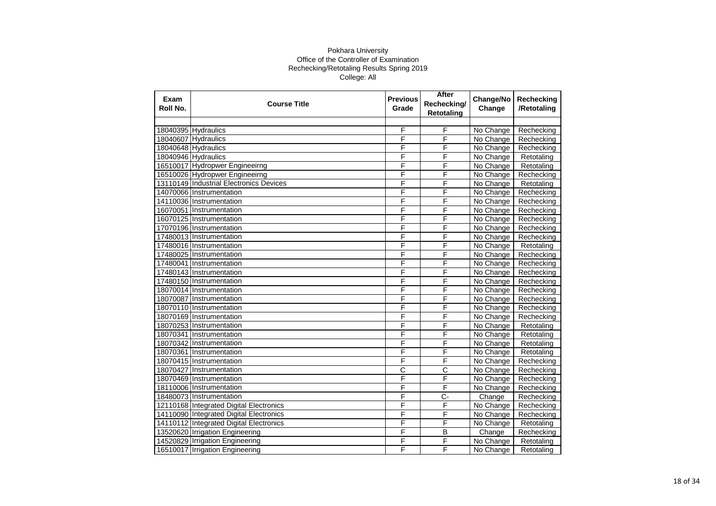| Exam<br>Roll No. | <b>Course Title</b>                     | <b>Previous</b><br>Grade | After<br>Rechecking/<br><b>Retotaling</b> | Change/No<br>Change | Rechecking<br>/Retotaling |
|------------------|-----------------------------------------|--------------------------|-------------------------------------------|---------------------|---------------------------|
|                  |                                         |                          |                                           |                     |                           |
|                  | 18040395 Hydraulics                     | F                        | F                                         | No Change           | Rechecking                |
|                  | 18040607 Hydraulics                     | F                        | F                                         | No Change           | Rechecking                |
|                  | 18040648 Hydraulics                     | F                        | F                                         | No Change           | Rechecking                |
|                  | 18040946 Hydraulics                     | F                        | F                                         | No Change           | Retotaling                |
|                  | 16510017 Hydropwer Engineeirng          | F                        | F                                         | No Change           | Retotaling                |
|                  | 16510026 Hydropwer Engineeirng          | F                        | F                                         | No Change           | Rechecking                |
|                  | 13110149 Industrial Electronics Devices | F                        | F                                         | No Change           | Retotaling                |
|                  | 14070066 Instrumentation                | F                        | F                                         | No Change           | Rechecking                |
|                  | 14110036 Instrumentation                | F                        | F                                         | No Change           | Rechecking                |
|                  | 16070051 Instrumentation                | F                        | F                                         | No Change           | Rechecking                |
|                  | 16070125 Instrumentation                | F                        | F                                         | No Change           | Rechecking                |
|                  | 17070196 Instrumentation                | F                        | F                                         | No Change           | Rechecking                |
|                  | 17480013 Instrumentation                | F                        | F                                         | No Change           | Rechecking                |
|                  | 17480016 Instrumentation                | F                        | F                                         | No Change           | Retotaling                |
|                  | 17480025 Instrumentation                | F                        | F                                         | No Change           | Rechecking                |
|                  | 17480041 Instrumentation                | F                        | F                                         | No Change           | Rechecking                |
|                  | 17480143 Instrumentation                | F                        | F                                         | No Change           | Rechecking                |
|                  | 17480150 Instrumentation                | F                        | F                                         | No Change           | Rechecking                |
|                  | 18070014 Instrumentation                | F                        | F                                         | No Change           | Rechecking                |
|                  | 18070087 Instrumentation                | F                        | F                                         | No Change           | Rechecking                |
|                  | 18070110 Instrumentation                | F                        | F                                         | No Change           | Rechecking                |
|                  | 18070169 Instrumentation                | F                        | F                                         | No Change           | Rechecking                |
|                  | 18070253 Instrumentation                | F                        | F                                         | No Change           | Retotaling                |
|                  | 18070341 Instrumentation                | F                        | F                                         | No Change           | Retotaling                |
|                  | 18070342 Instrumentation                | F                        | F                                         | No Change           | Retotaling                |
|                  | 18070361 Instrumentation                | F                        | F                                         | No Change           | Retotaling                |
|                  | 18070415 Instrumentation                | F                        | F                                         | No Change           | Rechecking                |
|                  | 18070427 Instrumentation                | $\overline{\text{c}}$    | С                                         | No Change           | Rechecking                |
|                  | 18070469 Instrumentation                | F                        | F                                         | No Change           | Rechecking                |
|                  | 18110006 Instrumentation                | F                        | $\overline{F}$                            | No Change           | Rechecking                |
|                  | 18480073 Instrumentation                | F                        | $C -$                                     | Change              | Rechecking                |
|                  | 12110168 Integrated Digital Electronics | F                        | F                                         | No Change           | Rechecking                |
|                  | 14110090 Integrated Digital Electronics | F                        | F                                         | No Change           | Rechecking                |
|                  | 14110112 Integrated Digital Electronics | F                        | F                                         | No Change           | Retotaling                |
|                  | 13520620 Irrigation Engineering         | F                        | B                                         | Change              | Rechecking                |
|                  | 14520829 Irrigation Engineering         | F                        | F                                         | No Change           | Retotaling                |
|                  | 16510017 Irrigation Engineering         | F                        | F                                         | No Change           | Retotaling                |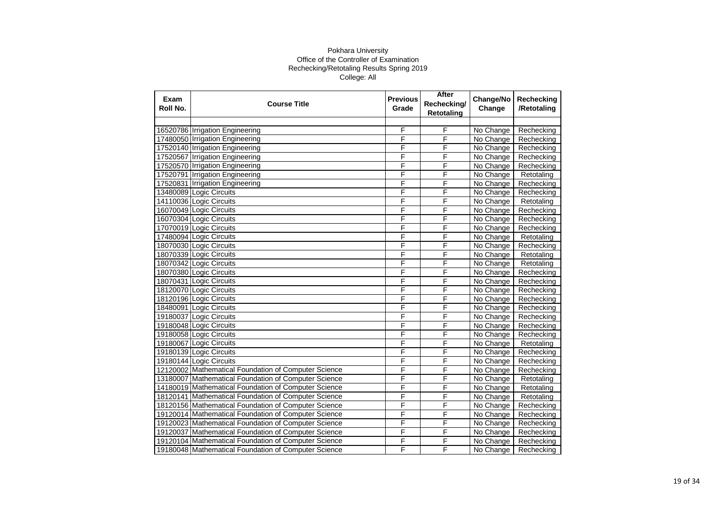| Exam<br>Roll No. | <b>Course Title</b>                                  | <b>Previous</b><br>Grade | After<br>Rechecking/<br><b>Retotaling</b> | Change/No<br>Change | Rechecking<br>/Retotaling |
|------------------|------------------------------------------------------|--------------------------|-------------------------------------------|---------------------|---------------------------|
|                  |                                                      |                          |                                           |                     |                           |
|                  | 16520786 Irrigation Engineering                      | F                        | F                                         | No Change           | Rechecking                |
|                  | 17480050 Irrigation Engineering                      | F                        | F                                         | No Change           | Rechecking                |
|                  | 17520140 Irrigation Engineering                      | F                        | F                                         | No Change           | Rechecking                |
|                  | 17520567 Irrigation Engineering                      | F                        | F                                         | No Change           | Rechecking                |
|                  | 17520570 Irrigation Engineering                      | F                        | F                                         | No Change           | Rechecking                |
|                  | 17520791 Irrigation Engineering                      | F                        | F                                         | No Change           | Retotaling                |
|                  | 17520831 Irrigation Engineering                      | F                        | F                                         | No Change           | Rechecking                |
|                  | 13480089 Logic Circuits                              | F                        | F                                         | No Change           | Rechecking                |
|                  | 14110036 Logic Circuits                              | F                        | F                                         | No Change           | Retotaling                |
|                  | 16070049 Logic Circuits                              | F                        | F                                         | No Change           | Rechecking                |
|                  | 16070304 Logic Circuits                              | F                        | F                                         | No Change           | Rechecking                |
|                  | 17070019 Logic Circuits                              | F                        | F                                         | No Change           | Rechecking                |
|                  | 17480094 Logic Circuits                              | F                        | F                                         | No Change           | Retotaling                |
|                  | 18070030 Logic Circuits                              | F                        | F                                         | No Change           | Rechecking                |
|                  | 18070339 Logic Circuits                              | F                        | F                                         | No Change           | Retotaling                |
|                  | 18070342 Logic Circuits                              | F                        | F                                         | No Change           | Retotaling                |
|                  | 18070380 Logic Circuits                              | F                        | F                                         | No Change           | Rechecking                |
|                  | 18070431 Logic Circuits                              | F                        | F                                         | No Change           | Rechecking                |
|                  | 18120070 Logic Circuits                              | F                        | F                                         | No Change           | Rechecking                |
|                  | 18120196 Logic Circuits                              | F                        | F                                         | No Change           | Rechecking                |
|                  | 18480091 Logic Circuits                              | F                        | F                                         | No Change           | Rechecking                |
|                  | 19180037 Logic Circuits                              | F                        | F                                         | No Change           | Rechecking                |
|                  | 19180048 Logic Circuits                              | F                        | F                                         | No Change           | Rechecking                |
|                  | 19180058 Logic Circuits                              | F                        | F                                         | No Change           | Rechecking                |
|                  | 19180067 Logic Circuits                              | F                        | F                                         | No Change           | Retotaling                |
|                  | 19180139 Logic Circuits                              | F                        | F                                         | No Change           | Rechecking                |
|                  | 19180144 Logic Circuits                              | F                        | F                                         | No Change           | Rechecking                |
|                  | 12120002 Mathematical Foundation of Computer Science | F                        | F                                         | No Change           | Rechecking                |
|                  | 13180007 Mathematical Foundation of Computer Science | F                        | F                                         | No Change           | Retotaling                |
|                  | 14180019 Mathematical Foundation of Computer Science | F                        | $\overline{F}$                            | No Change           | Retotaling                |
|                  | 18120141 Mathematical Foundation of Computer Science | F                        | F                                         | No Change           | Retotaling                |
|                  | 18120156 Mathematical Foundation of Computer Science | F                        | F                                         | No Change           | Rechecking                |
|                  | 19120014 Mathematical Foundation of Computer Science | F                        | F                                         | No Change           | Rechecking                |
|                  | 19120023 Mathematical Foundation of Computer Science | F                        | F                                         | No Change           | Rechecking                |
|                  | 19120037 Mathematical Foundation of Computer Science | F                        | F                                         | No Change           | Rechecking                |
|                  | 19120104 Mathematical Foundation of Computer Science | F                        | F                                         | No Change           | Rechecking                |
|                  | 19180048 Mathematical Foundation of Computer Science | F                        | F                                         | No Change           | Rechecking                |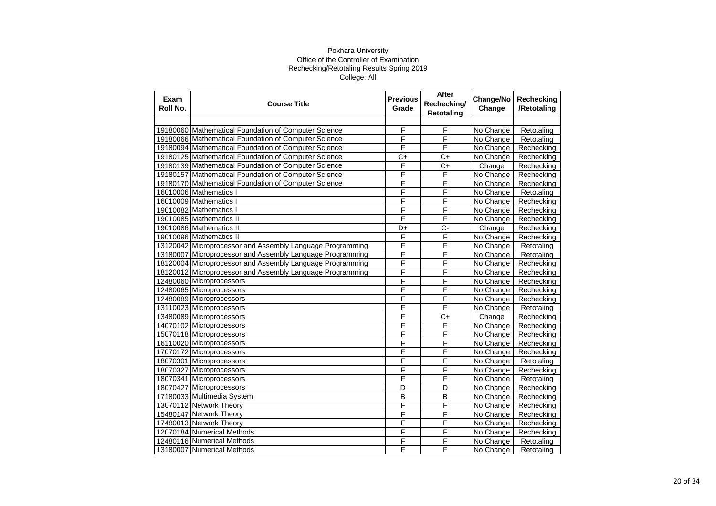| Exam<br>Roll No. | <b>Course Title</b>                                       | <b>Previous</b><br>Grade | After<br>Rechecking/<br><b>Retotaling</b> | Change/No<br>Change | Rechecking<br>/Retotaling |
|------------------|-----------------------------------------------------------|--------------------------|-------------------------------------------|---------------------|---------------------------|
|                  |                                                           |                          |                                           |                     |                           |
|                  | 19180060 Mathematical Foundation of Computer Science      | F                        | F                                         | No Change           | Retotaling                |
|                  | 19180066 Mathematical Foundation of Computer Science      | F                        | F                                         | No Change           | Retotaling                |
|                  | 19180094 Mathematical Foundation of Computer Science      | F                        | F                                         | No Change           | Rechecking                |
|                  | 19180125 Mathematical Foundation of Computer Science      | $C+$                     | $C+$                                      | No Change           | Rechecking                |
|                  | 19180139 Mathematical Foundation of Computer Science      | F                        | $C+$                                      | Change              | Rechecking                |
|                  | 19180157 Mathematical Foundation of Computer Science      | F                        | F                                         | No Change           | Rechecking                |
|                  | 19180170 Mathematical Foundation of Computer Science      | F                        | F                                         | No Change           | Rechecking                |
|                  | 16010006 Mathematics I                                    | F                        | F                                         | No Change           | Retotaling                |
|                  | 16010009 Mathematics I                                    | F                        | F                                         | No Change           | Rechecking                |
|                  | 19010082 Mathematics I                                    | F                        | F                                         | No Change           | Rechecking                |
|                  | 19010085 Mathematics II                                   | F                        | F                                         | No Change           | Rechecking                |
|                  | 19010086 Mathematics II                                   | D+                       | $\overline{C}$                            | Change              | Rechecking                |
|                  | 19010096 Mathematics II                                   | F                        | F                                         | No Change           | Rechecking                |
|                  | 13120042 Microprocessor and Assembly Language Programming | F                        | F                                         | No Change           | Retotaling                |
|                  | 13180007 Microprocessor and Assembly Language Programming | F                        | F                                         | No Change           | Retotaling                |
|                  | 18120004 Microprocessor and Assembly Language Programming | F                        | F                                         | No Change           | Rechecking                |
|                  | 18120012 Microprocessor and Assembly Language Programming | F                        | F                                         | No Change           | Rechecking                |
|                  | 12480060 Microprocessors                                  | F                        | F                                         | No Change           | Rechecking                |
|                  | 12480065 Microprocessors                                  | F                        | F                                         | No Change           | Rechecking                |
|                  | 12480089 Microprocessors                                  | F                        | F                                         | No Change           | Rechecking                |
|                  | 13110023 Microprocessors                                  | F                        | F                                         | No Change           | Retotaling                |
|                  | 13480089 Microprocessors                                  | F                        | $\overline{C}$                            | Change              | Rechecking                |
|                  | 14070102 Microprocessors                                  | F                        | $\overline{F}$                            | No Change           | Rechecking                |
|                  | 15070118 Microprocessors                                  | F                        | F                                         | No Change           | Rechecking                |
|                  | 16110020 Microprocessors                                  | F                        | F                                         | No Change           | Rechecking                |
|                  | 17070172 Microprocessors                                  | F                        | F                                         | No Change           | Rechecking                |
|                  | 18070301 Microprocessors                                  | F                        | F                                         | No Change           | Retotaling                |
|                  | 18070327 Microprocessors                                  | F                        | F                                         | No Change           | Rechecking                |
|                  | 18070341 Microprocessors                                  | F                        | F                                         | No Change           | Retotaling                |
|                  | 18070427 Microprocessors                                  | $\overline{\mathsf{D}}$  | D                                         | No Change           | Rechecking                |
|                  | 17180033 Multimedia System                                | B                        | B                                         | No Change           | Rechecking                |
|                  | 13070112 Network Theory                                   | F                        | F                                         | No Change           | Rechecking                |
|                  | 15480147 Network Theory                                   | F                        | F                                         | No Change           | Rechecking                |
|                  | 17480013 Network Theory                                   | F                        | F                                         | No Change           | Rechecking                |
|                  | 12070184 Numerical Methods                                | F                        | $\overline{F}$                            | No Change           | Rechecking                |
|                  | 12480116 Numerical Methods                                | F                        | F                                         | No Change           | Retotaling                |
|                  | 13180007 Numerical Methods                                | F                        | F                                         | No Change           | Retotaling                |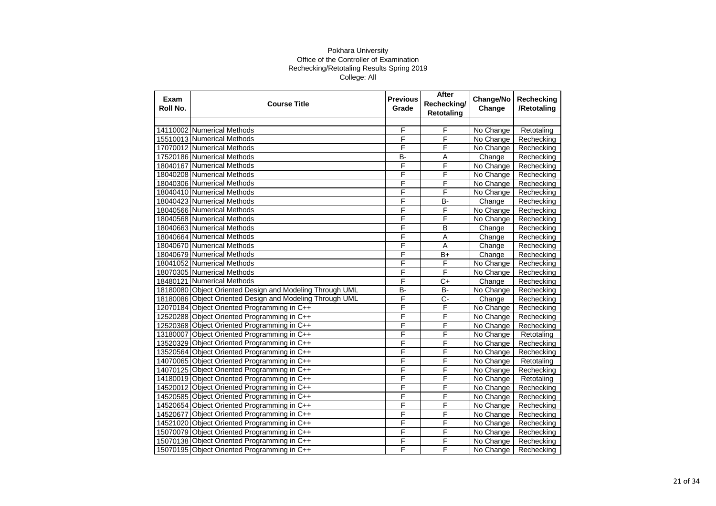| Exam<br>Roll No. | <b>Course Title</b>                                      | <b>Previous</b><br>Grade | After<br>Rechecking/<br><b>Retotaling</b> | Change/No<br>Change | Rechecking<br>/Retotaling |
|------------------|----------------------------------------------------------|--------------------------|-------------------------------------------|---------------------|---------------------------|
|                  |                                                          |                          |                                           |                     |                           |
|                  | 14110002 Numerical Methods                               | F                        | F                                         | No Change           | Retotaling                |
|                  | 15510013 Numerical Methods                               | F                        | F                                         | No Change           | Rechecking                |
|                  | 17070012 Numerical Methods                               | F                        | F                                         | No Change           | Rechecking                |
|                  | 17520186 Numerical Methods                               | B-                       | Α                                         | Change              | Rechecking                |
|                  | 18040167 Numerical Methods                               | F                        | F                                         | No Change           | Rechecking                |
|                  | 18040208 Numerical Methods                               | F                        | F                                         | No Change           | Rechecking                |
|                  | 18040306 Numerical Methods                               | F                        | F                                         | No Change           | Rechecking                |
|                  | 18040410 Numerical Methods                               | F                        | F                                         | No Change           | Rechecking                |
|                  | 18040423 Numerical Methods                               | F                        | <b>B-</b>                                 | Change              | Rechecking                |
|                  | 18040566 Numerical Methods                               | F                        | F                                         | No Change           | Rechecking                |
|                  | 18040568 Numerical Methods                               | F                        | F                                         | No Change           | Rechecking                |
|                  | 18040663 Numerical Methods                               | F                        | $\overline{B}$                            | Change              | Rechecking                |
|                  | 18040664 Numerical Methods                               | F                        | A                                         | Change              | Rechecking                |
|                  | 18040670 Numerical Methods                               | F                        | A                                         | Change              | Rechecking                |
|                  | 18040679 Numerical Methods                               | F                        | B+                                        | Change              | Rechecking                |
|                  | 18041052 Numerical Methods                               | F                        | $\overline{F}$                            | No Change           | Rechecking                |
|                  | 18070305 Numerical Methods                               | F                        | F                                         | No Change           | Rechecking                |
|                  | 18480121 Numerical Methods                               | F                        | $C+$                                      | Change              | Rechecking                |
|                  | 18180080 Object Oriented Design and Modeling Through UML | $\overline{B}$           | <b>B-</b>                                 | No Change           | Rechecking                |
|                  | 18180086 Object Oriented Design and Modeling Through UML | F                        | $\overline{C}$                            | Change              | Rechecking                |
|                  | 12070184 Object Oriented Programming in C++              | F                        | F                                         | No Change           | Rechecking                |
|                  | 12520288 Object Oriented Programming in C++              | F                        | F                                         | No Change           | Rechecking                |
|                  | 12520368 Object Oriented Programming in C++              | F                        | F                                         | No Change           | Rechecking                |
|                  | 13180007 Object Oriented Programming in C++              | F                        | F                                         | No Change           | Retotaling                |
|                  | 13520329 Object Oriented Programming in C++              | F                        | F                                         | No Change           | Rechecking                |
|                  | 13520564 Object Oriented Programming in C++              | F                        | F                                         | No Change           | Rechecking                |
|                  | 14070065 Object Oriented Programming in C++              | F                        | F                                         | No Change           | Retotaling                |
|                  | 14070125 Object Oriented Programming in C++              | F                        | F                                         | No Change           | Rechecking                |
|                  | 14180019 Object Oriented Programming in C++              | F                        | F                                         | No Change           | Retotaling                |
|                  | 14520012 Object Oriented Programming in C++              | F                        | F                                         | No Change           | Rechecking                |
|                  | 14520585 Object Oriented Programming in C++              | F                        | F                                         | No Change           | Rechecking                |
|                  | 14520654 Object Oriented Programming in C++              | F                        | F                                         | No Change           | Rechecking                |
|                  | 14520677 Object Oriented Programming in C++              | F                        | F                                         | No Change           | Rechecking                |
|                  | 14521020 Object Oriented Programming in C++              | F                        | F                                         | No Change           | Rechecking                |
|                  | 15070079 Object Oriented Programming in C++              | F                        | F                                         | No Change           | Rechecking                |
|                  | 15070138 Object Oriented Programming in C++              | F                        | F                                         | No Change           | Rechecking                |
|                  | 15070195 Object Oriented Programming in C++              | F                        | F                                         | No Change           | Rechecking                |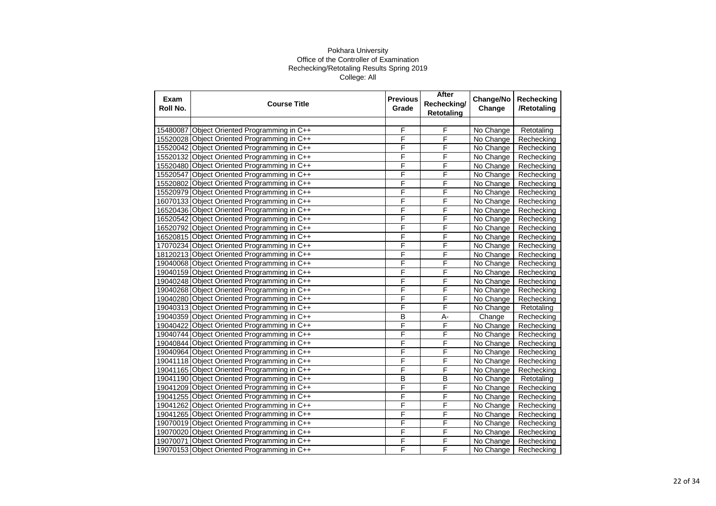| Exam<br>Roll No. | <b>Course Title</b>                         | <b>Previous</b><br>Grade | After<br>Rechecking/<br><b>Retotaling</b> | Change/No<br>Change | Rechecking<br>/Retotaling |
|------------------|---------------------------------------------|--------------------------|-------------------------------------------|---------------------|---------------------------|
|                  |                                             |                          |                                           |                     |                           |
| 15480087         | Object Oriented Programming in C++          | F                        | F                                         | No Change           | Retotaling                |
|                  | 15520028 Object Oriented Programming in C++ | F                        | F                                         | No Change           | Rechecking                |
|                  | 15520042 Object Oriented Programming in C++ | F                        | F                                         | No Change           | Rechecking                |
|                  | 15520132 Object Oriented Programming in C++ | F                        | F                                         | No Change           | Rechecking                |
|                  | 15520480 Object Oriented Programming in C++ | F                        | F                                         | No Change           | Rechecking                |
|                  | 15520547 Object Oriented Programming in C++ | F                        | F                                         | No Change           | Rechecking                |
|                  | 15520802 Object Oriented Programming in C++ | F                        | F                                         | No Change           | Rechecking                |
|                  | 15520979 Object Oriented Programming in C++ | F                        | F                                         | No Change           | Rechecking                |
|                  | 16070133 Object Oriented Programming in C++ | F                        | F                                         | No Change           | Rechecking                |
|                  | 16520436 Object Oriented Programming in C++ | F                        | F                                         | No Change           | Rechecking                |
|                  | 16520542 Object Oriented Programming in C++ | F                        | F                                         | No Change           | Rechecking                |
|                  | 16520792 Object Oriented Programming in C++ | F                        | F                                         | No Change           | Rechecking                |
|                  | 16520815 Object Oriented Programming in C++ | F                        | F                                         | No Change           | Rechecking                |
|                  | 17070234 Object Oriented Programming in C++ | F                        | F                                         | No Change           | Rechecking                |
|                  | 18120213 Object Oriented Programming in C++ | F                        | F                                         | No Change           | Rechecking                |
|                  | 19040068 Object Oriented Programming in C++ | F                        | F                                         | No Change           | Rechecking                |
|                  | 19040159 Object Oriented Programming in C++ | F                        | F                                         | No Change           | Rechecking                |
|                  | 19040248 Object Oriented Programming in C++ | F                        | F                                         | No Change           | Rechecking                |
|                  | 19040268 Object Oriented Programming in C++ | F                        | F                                         | No Change           | Rechecking                |
|                  | 19040280 Object Oriented Programming in C++ | F                        | F                                         | No Change           | Rechecking                |
|                  | 19040313 Object Oriented Programming in C++ | F                        | F                                         | No Change           | Retotaling                |
|                  | 19040359 Object Oriented Programming in C++ | B                        | А-                                        | Change              | Rechecking                |
|                  | 19040422 Object Oriented Programming in C++ | F                        | F                                         | No Change           | Rechecking                |
|                  | 19040744 Object Oriented Programming in C++ | F                        | F                                         | No Change           | Rechecking                |
|                  | 19040844 Object Oriented Programming in C++ | F                        | F                                         | No Change           | Rechecking                |
|                  | 19040964 Object Oriented Programming in C++ | F                        | F                                         | No Change           | Rechecking                |
|                  | 19041118 Object Oriented Programming in C++ | F                        | F                                         | No Change           | Rechecking                |
|                  | 19041165 Object Oriented Programming in C++ | F                        | F                                         | No Change           | Rechecking                |
|                  | 19041190 Object Oriented Programming in C++ | $\overline{B}$           | $\overline{B}$                            | No Change           | Retotaling                |
|                  | 19041209 Object Oriented Programming in C++ | F                        | F                                         | No Change           | Rechecking                |
|                  | 19041255 Object Oriented Programming in C++ | F                        | F                                         | No Change           | Rechecking                |
|                  | 19041262 Object Oriented Programming in C++ | F                        | F                                         | No Change           | Rechecking                |
|                  | 19041265 Object Oriented Programming in C++ | F                        | F                                         | No Change           | Rechecking                |
|                  | 19070019 Object Oriented Programming in C++ | F                        | F                                         | No Change           | Rechecking                |
|                  | 19070020 Object Oriented Programming in C++ | F                        | F                                         | No Change           | Rechecking                |
|                  | 19070071 Object Oriented Programming in C++ | F                        | F                                         | No Change           | Rechecking                |
|                  | 19070153 Object Oriented Programming in C++ | F                        | F                                         | No Change           | Rechecking                |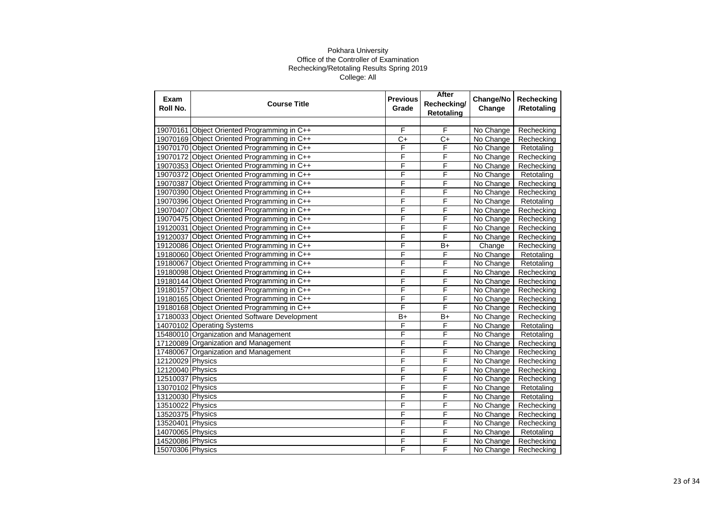| Exam<br>Roll No. | <b>Course Title</b>                           | <b>Previous</b><br>Grade | After<br>Rechecking/<br><b>Retotaling</b> | Change/No<br>Change | Rechecking<br>/Retotaling |
|------------------|-----------------------------------------------|--------------------------|-------------------------------------------|---------------------|---------------------------|
|                  |                                               |                          |                                           |                     |                           |
|                  | 19070161 Object Oriented Programming in C++   | F                        | F                                         | No Change           | Rechecking                |
|                  | 19070169 Object Oriented Programming in C++   | $\overline{C}$           | $\overline{C+}$                           | No Change           | Rechecking                |
|                  | 19070170 Object Oriented Programming in C++   | F                        | F                                         | No Change           | Retotaling                |
|                  | 19070172 Object Oriented Programming in C++   | F                        | F                                         | No Change           | Rechecking                |
|                  | 19070353 Object Oriented Programming in C++   | F                        | F                                         | No Change           | Rechecking                |
|                  | 19070372 Object Oriented Programming in C++   | F                        | F                                         | No Change           | Retotaling                |
|                  | 19070387 Object Oriented Programming in C++   | F                        | F                                         | No Change           | Rechecking                |
|                  | 19070390 Object Oriented Programming in C++   | F                        | F                                         | No Change           | Rechecking                |
|                  | 19070396 Object Oriented Programming in C++   | F                        | F                                         | No Change           | Retotaling                |
|                  | 19070407 Object Oriented Programming in C++   | F                        | F                                         | No Change           | Rechecking                |
|                  | 19070475 Object Oriented Programming in C++   | F                        | F                                         | No Change           | Rechecking                |
|                  | 19120031 Object Oriented Programming in C++   | F                        | F                                         | No Change           | Rechecking                |
|                  | 19120037 Object Oriented Programming in C++   | F                        | F                                         | No Change           | Rechecking                |
|                  | 19120086 Object Oriented Programming in C++   | F                        | $B+$                                      | Change              | Rechecking                |
|                  | 19180060 Object Oriented Programming in C++   | F                        | F                                         | No Change           | Retotaling                |
|                  | 19180067 Object Oriented Programming in C++   | F                        | F                                         | No Change           | Retotaling                |
|                  | 19180098 Object Oriented Programming in C++   | F                        | F                                         | No Change           | Rechecking                |
|                  | 19180144 Object Oriented Programming in C++   | F                        | F                                         | No Change           | Rechecking                |
|                  | 19180157 Object Oriented Programming in C++   | F                        | F                                         | No Change           | Rechecking                |
|                  | 19180165 Object Oriented Programming in C++   | F                        | F                                         | No Change           | Rechecking                |
|                  | 19180168 Object Oriented Programming in C++   | F                        | F                                         | No Change           | Rechecking                |
|                  | 17180033 Object Oriented Software Development | B+                       | $B+$                                      | No Change           | Rechecking                |
|                  | 14070102 Operating Systems                    | F                        | F                                         | No Change           | Retotaling                |
|                  | 15480010 Organization and Management          | F                        | F                                         | No Change           | Retotaling                |
|                  | 17120089 Organization and Management          | F                        | F                                         | No Change           | Rechecking                |
|                  | 17480067 Organization and Management          | F                        | F                                         | No Change           | Rechecking                |
| 12120029 Physics |                                               | F                        | F                                         | No Change           | Rechecking                |
| 12120040 Physics |                                               | F                        | F                                         | No Change           | Rechecking                |
| 12510037 Physics |                                               | F                        | F                                         | No Change           | Rechecking                |
| 13070102 Physics |                                               | F                        | F                                         | No Change           | Retotaling                |
| 13120030 Physics |                                               | F                        | F                                         | No Change           | Retotaling                |
| 13510022 Physics |                                               | F                        | F                                         | No Change           | Rechecking                |
| 13520375 Physics |                                               | F                        | F                                         | No Change           | Rechecking                |
| 13520401 Physics |                                               | F                        | F                                         | No Change           | Rechecking                |
| 14070065 Physics |                                               | F                        | F                                         | No Change           | Retotaling                |
| 14520086 Physics |                                               | F                        | F                                         | No Change           | Rechecking                |
| 15070306 Physics |                                               | F                        | F                                         | No Change           | Rechecking                |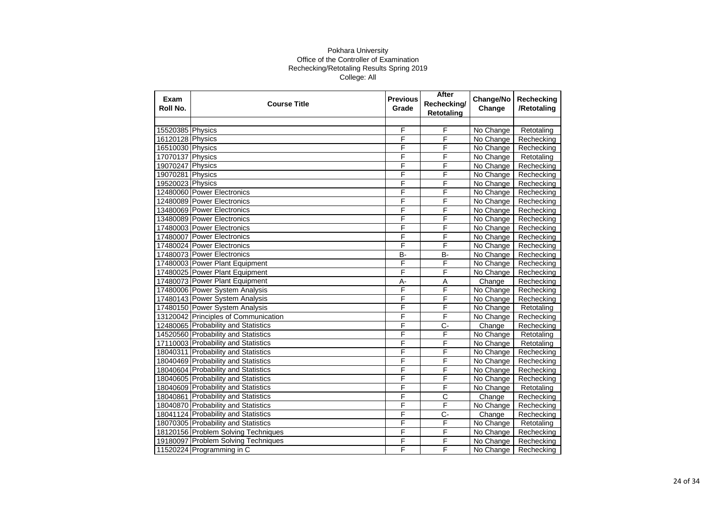| Exam<br>Roll No. | <b>Course Title</b>                  | <b>Previous</b><br>Grade | After<br>Rechecking/<br>Retotaling | Change/No<br>Change | Rechecking<br>/Retotaling |
|------------------|--------------------------------------|--------------------------|------------------------------------|---------------------|---------------------------|
|                  |                                      |                          |                                    |                     |                           |
| 15520385 Physics |                                      | F                        | F                                  | No Change           | Retotaling                |
| 16120128 Physics |                                      | F                        | F                                  | No Change           | Rechecking                |
| 16510030 Physics |                                      | F                        | F                                  | No Change           | Rechecking                |
| 17070137 Physics |                                      | F                        | F                                  | No Change           | Retotaling                |
| 19070247 Physics |                                      | F                        | F                                  | No Change           | Rechecking                |
| 19070281 Physics |                                      | F                        | F                                  | No Change           | Rechecking                |
| 19520023 Physics |                                      | F                        | F                                  | No Change           | Rechecking                |
|                  | 12480060 Power Electronics           | F                        | F                                  | No Change           | Rechecking                |
|                  | 12480089 Power Electronics           | F                        | F                                  | No Change           | Rechecking                |
|                  | 13480069 Power Electronics           | F                        | F                                  | No Change           | Rechecking                |
|                  | 13480089 Power Electronics           | F                        | F                                  | No Change           | Rechecking                |
|                  | 17480003 Power Electronics           | F                        | F                                  | No Change           | Rechecking                |
|                  | 17480007 Power Electronics           | F                        | F                                  | No Change           | Rechecking                |
|                  | 17480024 Power Electronics           | F                        | F                                  | No Change           | Rechecking                |
|                  | 17480073 Power Electronics           | B-                       | <b>B-</b>                          | No Change           | Rechecking                |
|                  | 17480003 Power Plant Equipment       | F                        | F                                  | No Change           | Rechecking                |
|                  | 17480025 Power Plant Equipment       | F                        | F                                  | No Change           | Rechecking                |
|                  | 17480073 Power Plant Equipment       | A-                       | $\overline{A}$                     | Change              | Rechecking                |
|                  | 17480006 Power System Analysis       | F                        | F                                  | No Change           | Rechecking                |
|                  | 17480143 Power System Analysis       | F                        | F                                  | No Change           | Rechecking                |
|                  | 17480150 Power System Analysis       | F                        | F                                  | No Change           | Retotaling                |
|                  | 13120042 Principles of Communication | F                        | F                                  | No Change           | Rechecking                |
|                  | 12480065 Probability and Statistics  | F                        | $\overline{C}$                     | Change              | Rechecking                |
|                  | 14520560 Probability and Statistics  | F                        | $\overline{\mathsf{F}}$            | No Change           | Retotaling                |
|                  | 17110003 Probability and Statistics  | F                        | F                                  | No Change           | Retotaling                |
|                  | 18040311 Probability and Statistics  | F                        | F                                  | No Change           | Rechecking                |
|                  | 18040469 Probability and Statistics  | F                        | F                                  | No Change           | Rechecking                |
|                  | 18040604 Probability and Statistics  | F                        | F                                  | No Change           | Rechecking                |
|                  | 18040605 Probability and Statistics  | F                        | F                                  | No Change           | Rechecking                |
|                  | 18040609 Probability and Statistics  | F                        | F                                  | No Change           | Retotaling                |
|                  | 18040861 Probability and Statistics  | F                        | $\overline{\text{c}}$              | Change              | Rechecking                |
|                  | 18040870 Probability and Statistics  | F                        | F                                  | No Change           | Rechecking                |
|                  | 18041124 Probability and Statistics  | F                        | C-                                 | Change              | Rechecking                |
|                  | 18070305 Probability and Statistics  | F                        | F                                  | No Change           | Retotaling                |
|                  | 18120156 Problem Solving Techniques  | F                        | F                                  | No Change           | Rechecking                |
|                  | 19180097 Problem Solving Techniques  | F                        | F                                  | No Change           | Rechecking                |
|                  | 11520224 Programming in C            | F                        | F                                  | No Change           | Rechecking                |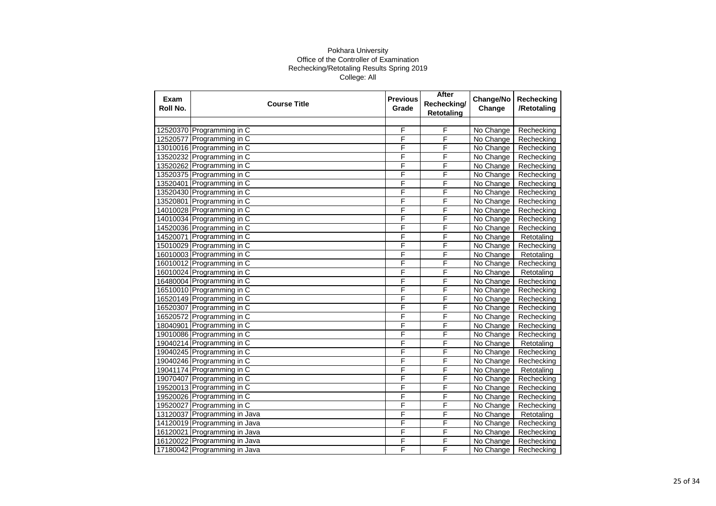| Exam<br>Roll No. | <b>Course Title</b>          | <b>Previous</b><br>Grade | After<br>Rechecking/<br><b>Retotaling</b> | Change/No<br>Change | Rechecking<br>/Retotaling |
|------------------|------------------------------|--------------------------|-------------------------------------------|---------------------|---------------------------|
|                  |                              |                          |                                           |                     |                           |
|                  | 12520370 Programming in C    | F                        | F                                         | No Change           | Rechecking                |
|                  | 12520577 Programming in C    | F                        | F                                         | No Change           | Rechecking                |
|                  | 13010016 Programming in C    | F                        | F                                         | No Change           | Rechecking                |
|                  | 13520232 Programming in C    | F                        | F                                         | No Change           | Rechecking                |
|                  | 13520262 Programming in C    | F                        | F                                         | No Change           | Rechecking                |
|                  | 13520375 Programming in C    | F                        | F                                         | No Change           | Rechecking                |
|                  | 13520401 Programming in C    | F                        | F                                         | No Change           | Rechecking                |
|                  | 13520430 Programming in C    | F                        | F                                         | No Change           | Rechecking                |
|                  | 13520801 Programming in C    | F                        | F                                         | No Change           | Rechecking                |
|                  | 14010028 Programming in C    | F                        | F                                         | No Change           | Rechecking                |
|                  | 14010034 Programming in C    | F                        | F                                         | No Change           | Rechecking                |
|                  | 14520036 Programming in C    | F                        | F                                         | No Change           | Rechecking                |
|                  | 14520071 Programming in C    | F                        | F                                         | No Change           | Retotaling                |
|                  | 15010029 Programming in C    | F                        | F                                         | No Change           | Rechecking                |
|                  | 16010003 Programming in C    | F                        | F                                         | No Change           | Retotaling                |
|                  | 16010012 Programming in C    | F                        | F                                         | No Change           | Rechecking                |
|                  | 16010024 Programming in C    | F                        | F                                         | No Change           | Retotaling                |
|                  | 16480004 Programming in C    | F                        | F                                         | No Change           | Rechecking                |
|                  | 16510010 Programming in C    | F                        | F                                         | No Change           | Rechecking                |
|                  | 16520149 Programming in C    | F                        | F                                         | No Change           | Rechecking                |
|                  | 16520307 Programming in C    | F                        | F                                         | No Change           | Rechecking                |
|                  | 16520572 Programming in C    | F                        | F                                         | No Change           | Rechecking                |
|                  | 18040901 Programming in C    | F                        | F                                         | No Change           | Rechecking                |
|                  | 19010086 Programming in C    | F                        | F                                         | No Change           | Rechecking                |
|                  | 19040214 Programming in C    | F                        | F                                         | No Change           | Retotaling                |
|                  | 19040245 Programming in C    | F                        | F                                         | No Change           | Rechecking                |
|                  | 19040246 Programming in C    | F                        | F                                         | No Change           | Rechecking                |
|                  | 19041174 Programming in C    | F                        | F                                         | No Change           | Retotaling                |
|                  | 19070407 Programming in C    | F                        | F                                         | No Change           | Rechecking                |
|                  | 19520013 Programming in C    | F                        | F                                         | No Change           | Rechecking                |
|                  | 19520026 Programming in C    | F                        | F                                         | No Change           | Rechecking                |
|                  | 19520027 Programming in C    | F                        | F                                         | No Change           | Rechecking                |
| 13120037         | Programming in Java          | F                        | F                                         | No Change           | Retotaling                |
|                  | 14120019 Programming in Java | F                        | F                                         | No Change           | Rechecking                |
|                  | 16120021 Programming in Java | F                        | F                                         | No Change           | Rechecking                |
|                  | 16120022 Programming in Java | F                        | F                                         | No Change           | Rechecking                |
|                  | 17180042 Programming in Java | F                        | F                                         | No Change           | Rechecking                |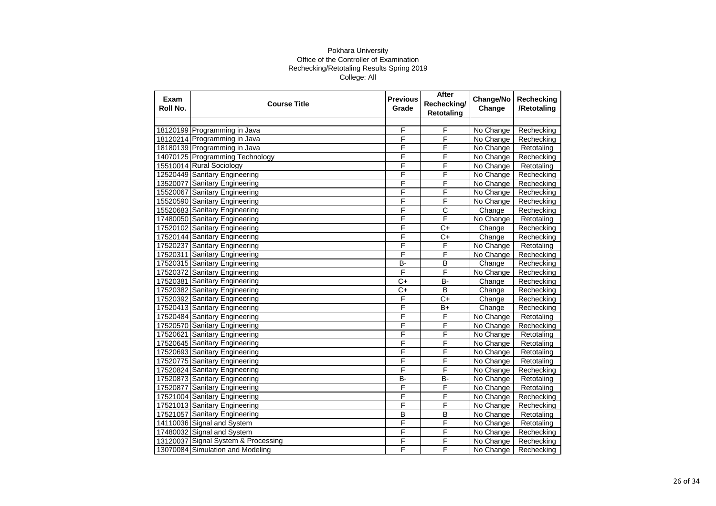| Exam<br>Roll No. | <b>Course Title</b>                 | <b>Previous</b><br>Grade | After<br>Rechecking/<br><b>Retotaling</b> | Change/No<br>Change | Rechecking<br>/Retotaling |
|------------------|-------------------------------------|--------------------------|-------------------------------------------|---------------------|---------------------------|
|                  |                                     |                          |                                           |                     |                           |
|                  | 18120199 Programming in Java        | F                        | F                                         | No Change           | Rechecking                |
|                  | 18120214 Programming in Java        | F                        | F                                         | No Change           | Rechecking                |
|                  | 18180139 Programming in Java        | F                        | F                                         | No Change           | Retotaling                |
|                  | 14070125 Programming Technology     | F                        | F                                         | No Change           | Rechecking                |
|                  | 15510014 Rural Sociology            | F                        | F                                         | No Change           | Retotaling                |
|                  | 12520449 Sanitary Engineering       | F                        | F                                         | No Change           | Rechecking                |
| 13520077         | Sanitary Engineering                | F                        | F                                         | No Change           | Rechecking                |
|                  | 15520067 Sanitary Engineering       | F                        | F                                         | No Change           | Rechecking                |
|                  | 15520590 Sanitary Engineering       | F                        | F                                         | No Change           | Rechecking                |
|                  | 15520683 Sanitary Engineering       | F                        | С                                         | Change              | Rechecking                |
|                  | 17480050 Sanitary Engineering       | F                        | F                                         | No Change           | Retotaling                |
|                  | 17520102 Sanitary Engineering       | F                        | $C+$                                      | Change              | Rechecking                |
|                  | 17520144 Sanitary Engineering       | F                        | $C+$                                      | Change              | Rechecking                |
|                  | 17520237 Sanitary Engineering       | F                        | F                                         | No Change           | Retotaling                |
|                  | 17520311 Sanitary Engineering       | F                        | F                                         | No Change           | Rechecking                |
|                  | 17520315 Sanitary Engineering       | B-                       | B                                         | Change              | Rechecking                |
|                  | 17520372 Sanitary Engineering       | F                        | F                                         | No Change           | Rechecking                |
|                  | 17520381 Sanitary Engineering       | $C+$                     | $\overline{B}$                            | Change              | Rechecking                |
|                  | 17520382 Sanitary Engineering       | $C+$                     | $\overline{\mathsf{B}}$                   | Change              | Rechecking                |
|                  | 17520392 Sanitary Engineering       | F                        | $C+$                                      | Change              | Rechecking                |
|                  | 17520413 Sanitary Engineering       | F                        | $B+$                                      | Change              | Rechecking                |
|                  | 17520484 Sanitary Engineering       | F                        | F                                         | No Change           | Retotaling                |
|                  | 17520570 Sanitary Engineering       | F                        | F                                         | No Change           | Rechecking                |
| 17520621         | Sanitary Engineering                | F                        | F                                         | No Change           | Retotaling                |
|                  | 17520645 Sanitary Engineering       | F                        | F                                         | No Change           | Retotaling                |
|                  | 17520693 Sanitary Engineering       | F                        | F                                         | No Change           | Retotaling                |
|                  | 17520775 Sanitary Engineering       | F                        | F                                         | No Change           | Retotaling                |
|                  | 17520824 Sanitary Engineering       | F                        | F                                         | No Change           | Rechecking                |
|                  | 17520873 Sanitary Engineering       | B-                       | <b>B-</b>                                 | No Change           | Retotaling                |
| 17520877         | Sanitary Engineering                | F                        | F                                         | No Change           | Retotaling                |
|                  | 17521004 Sanitary Engineering       | F                        | F                                         | No Change           | Rechecking                |
|                  | 17521013 Sanitary Engineering       | F                        | F                                         | No Change           | Rechecking                |
| 17521057         | Sanitary Engineering                | B                        | B                                         | No Change           | Retotaling                |
|                  | 14110036 Signal and System          | F                        | F                                         | No Change           | Retotaling                |
|                  | 17480032 Signal and System          | F                        | F                                         | No Change           | Rechecking                |
|                  | 13120037 Signal System & Processing | F                        | F                                         | No Change           | Rechecking                |
|                  | 13070084 Simulation and Modeling    | F                        | F                                         | No Change           | Rechecking                |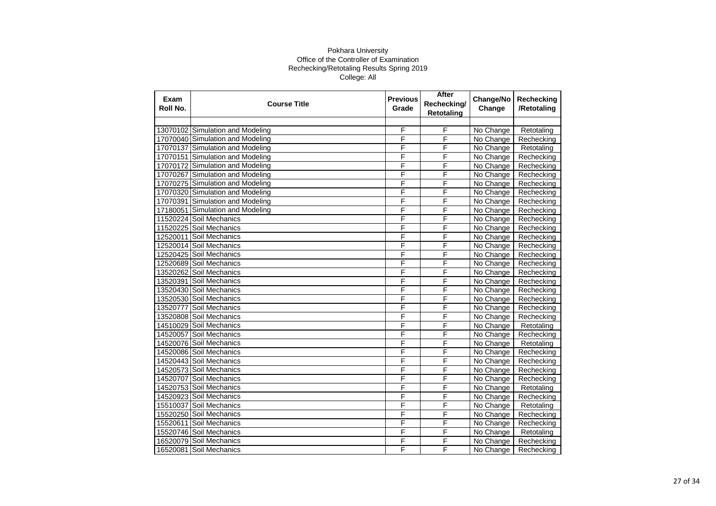| Exam<br>Roll No. | <b>Course Title</b>              | <b>Previous</b><br>Grade | After<br>Rechecking/<br><b>Retotaling</b> | Change/No<br>Change | Rechecking<br>/Retotaling |
|------------------|----------------------------------|--------------------------|-------------------------------------------|---------------------|---------------------------|
|                  |                                  |                          |                                           |                     |                           |
|                  | 13070102 Simulation and Modeling | F                        | F                                         | No Change           | Retotaling                |
|                  | 17070040 Simulation and Modeling | F                        | F                                         | No Change           | Rechecking                |
|                  | 17070137 Simulation and Modeling | F                        | F                                         | No Change           | Retotaling                |
|                  | 17070151 Simulation and Modeling | F                        | F                                         | No Change           | Rechecking                |
|                  | 17070172 Simulation and Modeling | F                        | F                                         | No Change           | Rechecking                |
|                  | 17070267 Simulation and Modeling | F                        | F                                         | No Change           | Rechecking                |
|                  | 17070275 Simulation and Modeling | F                        | F                                         | No Change           | Rechecking                |
|                  | 17070320 Simulation and Modeling | F                        | F                                         | No Change           | Rechecking                |
| 17070391         | Simulation and Modeling          | F                        | F                                         | No Change           | Rechecking                |
| 17180051         | Simulation and Modeling          | F                        | F                                         | No Change           | Rechecking                |
|                  | 11520224 Soil Mechanics          | F                        | F                                         | No Change           | Rechecking                |
|                  | 11520225 Soil Mechanics          | F                        | F                                         | No Change           | Rechecking                |
|                  | 12520011 Soil Mechanics          | F                        | F                                         | No Change           | Rechecking                |
|                  | 12520014 Soil Mechanics          | F                        | F                                         | No Change           | Rechecking                |
|                  | 12520425 Soil Mechanics          | F                        | F                                         | No Change           | Rechecking                |
|                  | 12520689 Soil Mechanics          | F                        | F                                         | No Change           | Rechecking                |
|                  | 13520262 Soil Mechanics          | F                        | F                                         | No Change           | Rechecking                |
| 13520391         | Soil Mechanics                   | F                        | F                                         | No Change           | Rechecking                |
|                  | 13520430 Soil Mechanics          | F                        | F                                         | No Change           | Rechecking                |
|                  | 13520530 Soil Mechanics          | F                        | F                                         | No Change           | Rechecking                |
| 13520777         | Soil Mechanics                   | F                        | F                                         | No Change           | Rechecking                |
|                  | 13520808 Soil Mechanics          | F                        | F                                         | No Change           | Rechecking                |
|                  | 14510029 Soil Mechanics          | F                        | F                                         | No Change           | Retotaling                |
| 14520057         | Soil Mechanics                   | F                        | F                                         | No Change           | Rechecking                |
|                  | 14520076 Soil Mechanics          | F                        | F                                         | No Change           | Retotaling                |
|                  | 14520086 Soil Mechanics          | F                        | F                                         | No Change           | Rechecking                |
|                  | 14520443 Soil Mechanics          | F                        | F                                         | No Change           | Rechecking                |
|                  | 14520573 Soil Mechanics          | F                        | F                                         | No Change           | Rechecking                |
| 14520707         | Soil Mechanics                   | F                        | F                                         | No Change           | Rechecking                |
|                  | 14520753 Soil Mechanics          | F                        | F                                         | No Change           | Retotaling                |
|                  | 14520923 Soil Mechanics          | F                        | F                                         | No Change           | Rechecking                |
| 15510037         | Soil Mechanics                   | F                        | F                                         | No Change           | Retotaling                |
|                  | 15520250 Soil Mechanics          | F                        | F                                         | No Change           | Rechecking                |
| 15520611         | Soil Mechanics                   | F                        | F                                         | No Change           | Rechecking                |
|                  | 15520746 Soil Mechanics          | F                        | F                                         | No Change           | Retotaling                |
|                  | 16520079 Soil Mechanics          | F                        | F                                         | No Change           | Rechecking                |
|                  | 16520081 Soil Mechanics          | F                        | F                                         | No Change           | Rechecking                |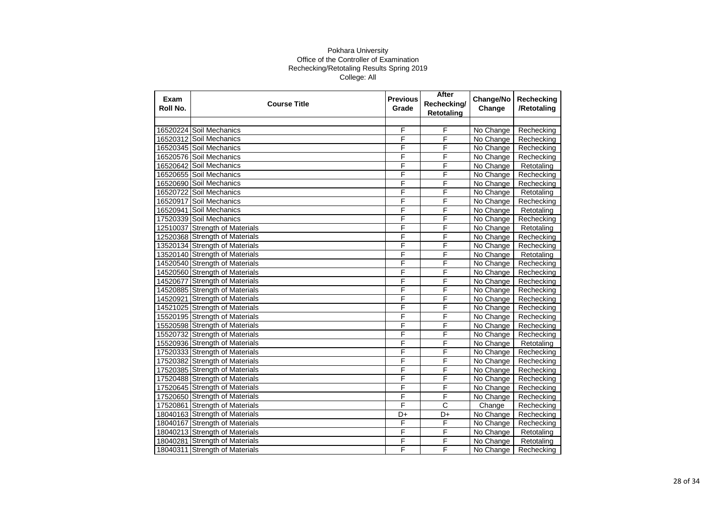| Exam<br>Roll No. | <b>Course Title</b>            | <b>Previous</b><br>Grade | After<br>Rechecking/<br><b>Retotaling</b> | Change/No<br>Change | Rechecking<br>/Retotaling |
|------------------|--------------------------------|--------------------------|-------------------------------------------|---------------------|---------------------------|
|                  |                                |                          |                                           |                     |                           |
|                  | 16520224 Soil Mechanics        | F                        | F                                         | No Change           | Rechecking                |
|                  | 16520312 Soil Mechanics        | F                        | F                                         | No Change           | Rechecking                |
|                  | 16520345 Soil Mechanics        | F                        | F                                         | No Change           | Rechecking                |
|                  | 16520576 Soil Mechanics        | F                        | F                                         | No Change           | Rechecking                |
|                  | 16520642 Soil Mechanics        | F                        | F                                         | No Change           | Retotaling                |
|                  | 16520655 Soil Mechanics        | F                        | F                                         | No Change           | Rechecking                |
|                  | 16520690 Soil Mechanics        | F                        | F                                         | No Change           | Rechecking                |
|                  | 16520722 Soil Mechanics        | F                        | F                                         | No Change           | Retotaling                |
| 16520917         | Soil Mechanics                 | F                        | F                                         | No Change           | Rechecking                |
|                  | 16520941 Soil Mechanics        | F                        | F                                         | No Change           | Retotaling                |
|                  | 17520339 Soil Mechanics        | F                        | F                                         | No Change           | Rechecking                |
|                  | 12510037 Strength of Materials | F                        | F                                         | No Change           | Retotaling                |
|                  | 12520368 Strength of Materials | F                        | F                                         | No Change           | Rechecking                |
|                  | 13520134 Strength of Materials | F                        | F                                         | No Change           | Rechecking                |
|                  | 13520140 Strength of Materials | F                        | F                                         | No Change           | Retotaling                |
|                  | 14520540 Strength of Materials | F                        | F                                         | No Change           | Rechecking                |
|                  | 14520560 Strength of Materials | F                        | F                                         | No Change           | Rechecking                |
|                  | 14520677 Strength of Materials | F                        | F                                         | No Change           | Rechecking                |
|                  | 14520885 Strength of Materials | F                        | F                                         | No Change           | Rechecking                |
|                  | 14520921 Strength of Materials | F                        | F                                         | No Change           | Rechecking                |
|                  | 14521025 Strength of Materials | F                        | F                                         | No Change           | Rechecking                |
|                  | 15520195 Strength of Materials | F                        | F                                         | No Change           | Rechecking                |
|                  | 15520598 Strength of Materials | F                        | F                                         | No Change           | Rechecking                |
|                  | 15520732 Strength of Materials | F                        | F                                         | No Change           | Rechecking                |
|                  | 15520936 Strength of Materials | F                        | F                                         | No Change           | Retotaling                |
|                  | 17520333 Strength of Materials | F                        | $\overline{\mathsf{F}}$                   | No Change           | Rechecking                |
|                  | 17520382 Strength of Materials | F                        | F                                         | No Change           | Rechecking                |
|                  | 17520385 Strength of Materials | F                        | F                                         | No Change           | Rechecking                |
|                  | 17520488 Strength of Materials | F                        | F                                         | No Change           | Rechecking                |
|                  | 17520645 Strength of Materials | F                        | F                                         | No Change           | Rechecking                |
|                  | 17520650 Strength of Materials | F                        | F                                         | No Change           | Rechecking                |
|                  | 17520861 Strength of Materials | F                        | $\overline{\text{c}}$                     | Change              | Rechecking                |
|                  | 18040163 Strength of Materials | D+                       | D+                                        | No Change           | Rechecking                |
|                  | 18040167 Strength of Materials | F                        | $\overline{\mathsf{F}}$                   | No Change           | Rechecking                |
|                  | 18040213 Strength of Materials | F                        | $\overline{\mathsf{F}}$                   | No Change           | Retotaling                |
|                  | 18040281 Strength of Materials | F                        | F                                         | No Change           | Retotaling                |
|                  | 18040311 Strength of Materials | F                        | F                                         | No Change           | Rechecking                |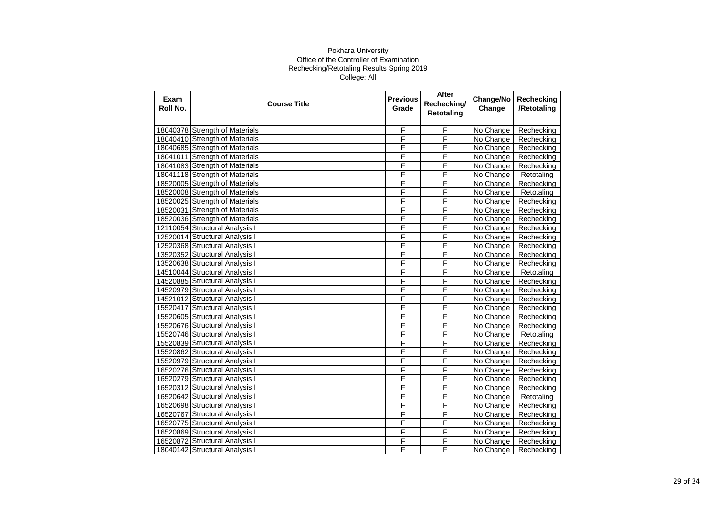| Exam<br>Roll No. | <b>Course Title</b>            | <b>Previous</b><br>Grade | After<br>Rechecking/<br><b>Retotaling</b> | Change/No<br>Change | Rechecking<br>/Retotaling |
|------------------|--------------------------------|--------------------------|-------------------------------------------|---------------------|---------------------------|
|                  |                                |                          |                                           |                     |                           |
|                  | 18040378 Strength of Materials | F                        | F                                         | No Change           | Rechecking                |
|                  | 18040410 Strength of Materials | F                        | F                                         | No Change           | Rechecking                |
|                  | 18040685 Strength of Materials | F                        | F                                         | No Change           | Rechecking                |
|                  | 18041011 Strength of Materials | F                        | F                                         | No Change           | Rechecking                |
|                  | 18041083 Strength of Materials | F                        | F                                         | No Change           | Rechecking                |
|                  | 18041118 Strength of Materials | F                        | F                                         | No Change           | Retotaling                |
|                  | 18520005 Strength of Materials | F                        | F                                         | No Change           | Rechecking                |
|                  | 18520008 Strength of Materials | F                        | F                                         | No Change           | Retotaling                |
|                  | 18520025 Strength of Materials | F                        | F                                         | No Change           | Rechecking                |
|                  | 18520031 Strength of Materials | F                        | F                                         | No Change           | Rechecking                |
|                  | 18520036 Strength of Materials | F                        | F                                         | No Change           | Rechecking                |
|                  | 12110054 Structural Analysis I | F                        | F                                         | No Change           | Rechecking                |
|                  | 12520014 Structural Analysis I | F                        | F                                         | No Change           | Rechecking                |
|                  | 12520368 Structural Analysis I | F                        | F                                         | No Change           | Rechecking                |
|                  | 13520352 Structural Analysis I | F                        | F                                         | No Change           | Rechecking                |
|                  | 13520638 Structural Analysis I | F                        | F                                         | No Change           | Rechecking                |
|                  | 14510044 Structural Analysis I | F                        | F                                         | No Change           | Retotaling                |
|                  | 14520885 Structural Analysis I | F                        | F                                         | No Change           | Rechecking                |
|                  | 14520979 Structural Analysis I | F                        | F                                         | No Change           | Rechecking                |
|                  | 14521012 Structural Analysis I | F                        | F                                         | No Change           | Rechecking                |
|                  | 15520417 Structural Analysis I | F                        | F                                         | No Change           | Rechecking                |
|                  | 15520605 Structural Analysis I | F                        | F                                         | No Change           | Rechecking                |
|                  | 15520676 Structural Analysis I | F                        | F                                         | No Change           | Rechecking                |
|                  | 15520746 Structural Analysis I | F                        | F                                         | No Change           | Retotaling                |
|                  | 15520839 Structural Analysis I | F                        | F                                         | No Change           | Rechecking                |
|                  | 15520862 Structural Analysis I | F                        | F                                         | No Change           | Rechecking                |
|                  | 15520979 Structural Analysis I | F                        | F                                         | No Change           | Rechecking                |
|                  | 16520276 Structural Analysis I | F                        | F                                         | No Change           | Rechecking                |
|                  | 16520279 Structural Analysis I | F                        | F                                         | No Change           | Rechecking                |
|                  | 16520312 Structural Analysis I | F                        | F                                         | No Change           | Rechecking                |
|                  | 16520642 Structural Analysis I | F                        | F                                         | No Change           | Retotaling                |
|                  | 16520698 Structural Analysis I | F                        | F                                         | No Change           | Rechecking                |
|                  | 16520767 Structural Analysis I | F                        | F                                         | No Change           | Rechecking                |
|                  | 16520775 Structural Analysis I | F                        | F                                         | No Change           | Rechecking                |
|                  | 16520869 Structural Analysis I | F                        | F                                         | No Change           | Rechecking                |
|                  | 16520872 Structural Analysis I | F                        | F                                         | No Change           | Rechecking                |
|                  | 18040142 Structural Analysis I | F                        | F                                         | No Change           | Rechecking                |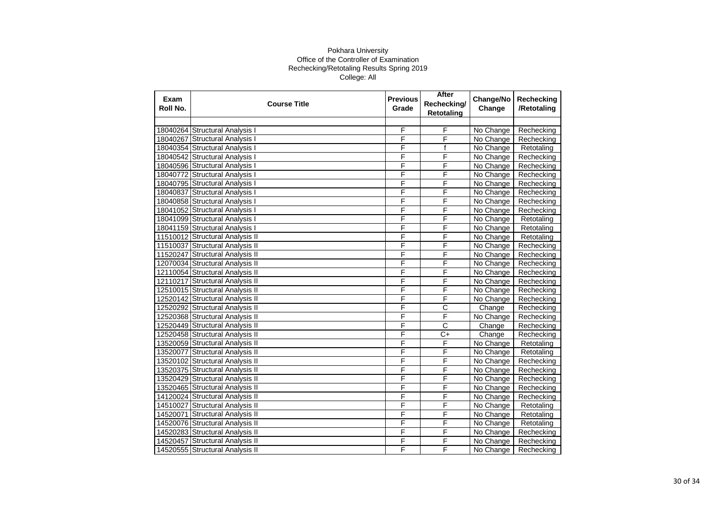| Exam<br>Roll No. | <b>Course Title</b>             | <b>Previous</b><br>Grade | After<br>Rechecking/<br><b>Retotaling</b> | Change/No<br>Change | Rechecking<br>/Retotaling |
|------------------|---------------------------------|--------------------------|-------------------------------------------|---------------------|---------------------------|
|                  |                                 |                          |                                           |                     |                           |
|                  | 18040264 Structural Analysis I  | F                        | F                                         | No Change           | Rechecking                |
|                  | 18040267 Structural Analysis I  | F                        | F                                         | No Change           | Rechecking                |
|                  | 18040354 Structural Analysis I  | F                        | $\mathsf{f}$                              | No Change           | Retotaling                |
|                  | 18040542 Structural Analysis I  | F                        | F                                         | No Change           | Rechecking                |
|                  | 18040596 Structural Analysis I  | F                        | F                                         | No Change           | Rechecking                |
|                  | 18040772 Structural Analysis I  | F                        | F                                         | No Change           | Rechecking                |
|                  | 18040795 Structural Analysis I  | F                        | F                                         | No Change           | Rechecking                |
|                  | 18040837 Structural Analysis I  | F                        | F                                         | No Change           | Rechecking                |
|                  | 18040858 Structural Analysis I  | F                        | F                                         | No Change           | Rechecking                |
|                  | 18041052 Structural Analysis I  | F                        | F                                         | No Change           | Rechecking                |
|                  | 18041099 Structural Analysis I  | F                        | F                                         | No Change           | Retotaling                |
|                  | 18041159 Structural Analysis I  | F                        | F                                         | No Change           | Retotaling                |
|                  | 11510012 Structural Analysis II | F                        | F                                         | No Change           | Retotaling                |
|                  | 11510037 Structural Analysis II | F                        | F                                         | No Change           | Rechecking                |
|                  | 11520247 Structural Analysis II | F                        | F                                         | No Change           | Rechecking                |
|                  | 12070034 Structural Analysis II | F                        | F                                         | No Change           | Rechecking                |
|                  | 12110054 Structural Analysis II | F                        | F                                         | No Change           | Rechecking                |
|                  | 12110217 Structural Analysis II | F                        | F                                         | No Change           | Rechecking                |
|                  | 12510015 Structural Analysis II | F                        | F                                         | No Change           | Rechecking                |
|                  | 12520142 Structural Analysis II | F                        | F                                         | No Change           | Rechecking                |
|                  | 12520292 Structural Analysis II | F                        | $\overline{\text{c}}$                     | Change              | Rechecking                |
|                  | 12520368 Structural Analysis II | F                        | F                                         | No Change           | Rechecking                |
|                  | 12520449 Structural Analysis II | F                        | C                                         | Change              | Rechecking                |
|                  | 12520458 Structural Analysis II | F                        | $\overline{C+}$                           | Change              | Rechecking                |
|                  | 13520059 Structural Analysis II | F                        | F                                         | No Change           | Retotaling                |
|                  | 13520077 Structural Analysis II | F                        | F                                         | No Change           | Retotaling                |
|                  | 13520102 Structural Analysis II | F                        | F                                         | No Change           | Rechecking                |
|                  | 13520375 Structural Analysis II | F                        | F                                         | No Change           | Rechecking                |
|                  | 13520429 Structural Analysis II | F                        | F                                         | No Change           | Rechecking                |
|                  | 13520465 Structural Analysis II | F                        | F                                         | No Change           | Rechecking                |
|                  | 14120024 Structural Analysis II | F                        | F                                         | No Change           | Rechecking                |
| 14510027         | <b>Structural Analysis II</b>   | F                        | F                                         | No Change           | Retotaling                |
| 14520071         | <b>Structural Analysis II</b>   | F                        | F                                         | No Change           | Retotaling                |
|                  | 14520076 Structural Analysis II | F                        | F                                         | No Change           | Retotaling                |
|                  | 14520283 Structural Analysis II | F                        | F                                         | No Change           | Rechecking                |
| 14520457         | Structural Analysis II          | F                        | F                                         | No Change           | Rechecking                |
|                  | 14520555 Structural Analysis II | F                        | F                                         | No Change           | Rechecking                |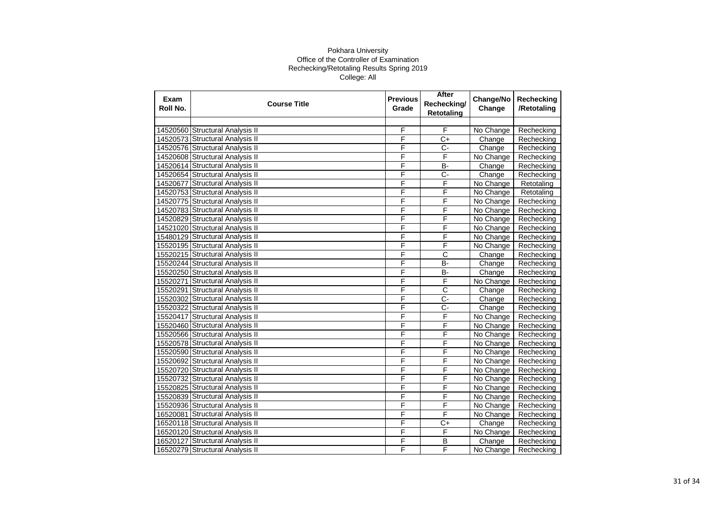| Exam<br>Roll No. | <b>Course Title</b>             | <b>Previous</b><br>Grade | After<br>Rechecking/<br><b>Retotaling</b> | Change/No<br>Change | Rechecking<br>/Retotaling |
|------------------|---------------------------------|--------------------------|-------------------------------------------|---------------------|---------------------------|
|                  |                                 |                          |                                           |                     |                           |
|                  | 14520560 Structural Analysis II | F                        | F                                         | No Change           | Rechecking                |
|                  | 14520573 Structural Analysis II | F                        | $\overline{C+}$                           | Change              | Rechecking                |
|                  | 14520576 Structural Analysis II | F                        | C-                                        | Change              | Rechecking                |
|                  | 14520608 Structural Analysis II | F                        | F                                         | No Change           | Rechecking                |
|                  | 14520614 Structural Analysis II | F                        | <b>B-</b>                                 | Change              | Rechecking                |
|                  | 14520654 Structural Analysis II | F                        | $\overline{C}$ -                          | Change              | Rechecking                |
| 14520677         | <b>Structural Analysis II</b>   | F                        | F                                         | No Change           | Retotaling                |
|                  | 14520753 Structural Analysis II | F                        | F                                         | No Change           | Retotaling                |
|                  | 14520775 Structural Analysis II | F                        | F                                         | No Change           | Rechecking                |
|                  | 14520783 Structural Analysis II | F                        | F                                         | No Change           | Rechecking                |
|                  | 14520829 Structural Analysis II | F                        | F                                         | No Change           | Rechecking                |
|                  | 14521020 Structural Analysis II | F                        | F                                         | No Change           | Rechecking                |
|                  | 15480129 Structural Analysis II | F                        | F                                         | No Change           | Rechecking                |
|                  | 15520195 Structural Analysis II | F                        | F                                         | No Change           | Rechecking                |
|                  | 15520215 Structural Analysis II | F                        | $\overline{\text{c}}$                     | Change              | Rechecking                |
|                  | 15520244 Structural Analysis II | F                        | B-                                        | Change              | Rechecking                |
|                  | 15520250 Structural Analysis II | F                        | $\overline{B}$                            | Change              | Rechecking                |
| 15520271         | <b>Structural Analysis II</b>   | F                        | F                                         | No Change           | Rechecking                |
|                  | 15520291 Structural Analysis II | F                        | $\overline{\text{c}}$                     | Change              | Rechecking                |
|                  | 15520302 Structural Analysis II | F                        | C-                                        | Change              | Rechecking                |
| 15520322         | <b>Structural Analysis II</b>   | F                        | $\overline{C}$ -                          | Change              | Rechecking                |
| 15520417         | <b>Structural Analysis II</b>   | F                        | F                                         | No Change           | Rechecking                |
|                  | 15520460 Structural Analysis II | F                        | F                                         | No Change           | Rechecking                |
|                  | 15520566 Structural Analysis II | F                        | F                                         | No Change           | Rechecking                |
|                  | 15520578 Structural Analysis II | F                        | F                                         | No Change           | Rechecking                |
|                  | 15520590 Structural Analysis II | F                        | F                                         | No Change           | Rechecking                |
|                  | 15520692 Structural Analysis II | F                        | F                                         | No Change           | Rechecking                |
|                  | 15520720 Structural Analysis II | F                        | F                                         | No Change           | Rechecking                |
|                  | 15520732 Structural Analysis II | F                        | F                                         | No Change           | Rechecking                |
|                  | 15520825 Structural Analysis II | F                        | F                                         | No Change           | Rechecking                |
|                  | 15520839 Structural Analysis II | F                        | F                                         | No Change           | Rechecking                |
|                  | 15520936 Structural Analysis II | F                        | F                                         | No Change           | Rechecking                |
| 16520081         | <b>Structural Analysis II</b>   | F                        | F                                         | No Change           | Rechecking                |
|                  | 16520118 Structural Analysis II | F                        | $C+$                                      | Change              | Rechecking                |
|                  | 16520120 Structural Analysis II | F                        | $\overline{\mathsf{F}}$                   | No Change           | Rechecking                |
| 16520127         | Structural Analysis II          | F                        | В                                         | Change              | Rechecking                |
|                  | 16520279 Structural Analysis II | F                        | F                                         | No Change           | Rechecking                |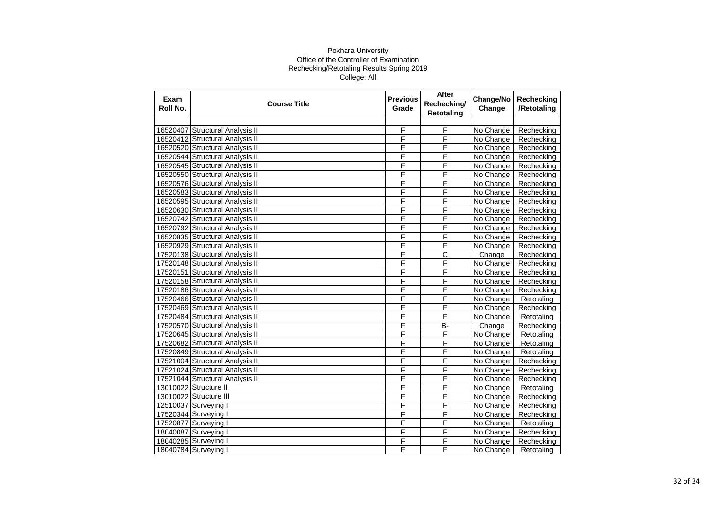| Exam<br>Roll No. | <b>Course Title</b>             | <b>Previous</b><br>Grade | After<br>Rechecking/<br><b>Retotaling</b> | Change/No<br>Change | Rechecking<br>/Retotaling |
|------------------|---------------------------------|--------------------------|-------------------------------------------|---------------------|---------------------------|
|                  |                                 |                          |                                           |                     |                           |
| 16520407         | Structural Analysis II          | F                        | F                                         | No Change           | Rechecking                |
|                  | 16520412 Structural Analysis II | F                        | F                                         | No Change           | Rechecking                |
|                  | 16520520 Structural Analysis II | F                        | F                                         | No Change           | Rechecking                |
|                  | 16520544 Structural Analysis II | F                        | F                                         | No Change           | Rechecking                |
|                  | 16520545 Structural Analysis II | F                        | F                                         | No Change           | Rechecking                |
|                  | 16520550 Structural Analysis II | F                        | F                                         | No Change           | Rechecking                |
|                  | 16520576 Structural Analysis II | F                        | F                                         | No Change           | Rechecking                |
|                  | 16520583 Structural Analysis II | F                        | F                                         | No Change           | Rechecking                |
|                  | 16520595 Structural Analysis II | F                        | F                                         | No Change           | Rechecking                |
|                  | 16520630 Structural Analysis II | F                        | F                                         | No Change           | Rechecking                |
|                  | 16520742 Structural Analysis II | F                        | F                                         | No Change           | Rechecking                |
|                  | 16520792 Structural Analysis II | F                        | F                                         | No Change           | Rechecking                |
|                  | 16520835 Structural Analysis II | F                        | F                                         | No Change           | Rechecking                |
|                  | 16520929 Structural Analysis II | F                        | F                                         | No Change           | Rechecking                |
|                  | 17520138 Structural Analysis II | F                        | С                                         | Change              | Rechecking                |
|                  | 17520148 Structural Analysis II | F                        | F                                         | No Change           | Rechecking                |
|                  | 17520151 Structural Analysis II | F                        | F                                         | No Change           | Rechecking                |
|                  | 17520158 Structural Analysis II | F                        | F                                         | No Change           | Rechecking                |
|                  | 17520186 Structural Analysis II | F                        | F                                         | No Change           | Rechecking                |
|                  | 17520466 Structural Analysis II | F                        | F                                         | No Change           | Retotaling                |
|                  | 17520469 Structural Analysis II | F                        | F                                         | No Change           | Rechecking                |
|                  | 17520484 Structural Analysis II | F                        | F                                         | No Change           | Retotaling                |
|                  | 17520570 Structural Analysis II | F                        | <b>B-</b>                                 | Change              | Rechecking                |
|                  | 17520645 Structural Analysis II | F                        | F                                         | No Change           | Retotaling                |
|                  | 17520682 Structural Analysis II | F                        | F                                         | No Change           | Retotaling                |
|                  | 17520849 Structural Analysis II | F                        | F                                         | No Change           | Retotaling                |
|                  | 17521004 Structural Analysis II | F                        | F                                         | No Change           | Rechecking                |
|                  | 17521024 Structural Analysis II | F                        | F                                         | No Change           | Rechecking                |
|                  | 17521044 Structural Analysis II | F                        | F                                         | No Change           | Rechecking                |
|                  | 13010022 Structure II           | F                        | F                                         | No Change           | Retotaling                |
|                  | 13010022 Structure III          | F                        | F                                         | No Change           | Rechecking                |
|                  | 12510037 Surveying I            | F                        | F                                         | No Change           | Rechecking                |
|                  | 17520344 Surveying I            | F                        | F                                         | No Change           | Rechecking                |
| 17520877         | Surveying I                     | F                        | F                                         | No Change           | Retotaling                |
|                  | 18040087 Surveying I            | F                        | F                                         | No Change           | Rechecking                |
|                  | 18040285 Surveying I            | F                        | F                                         | No Change           | Rechecking                |
|                  | 18040784 Surveying I            | F                        | F                                         | No Change           | Retotaling                |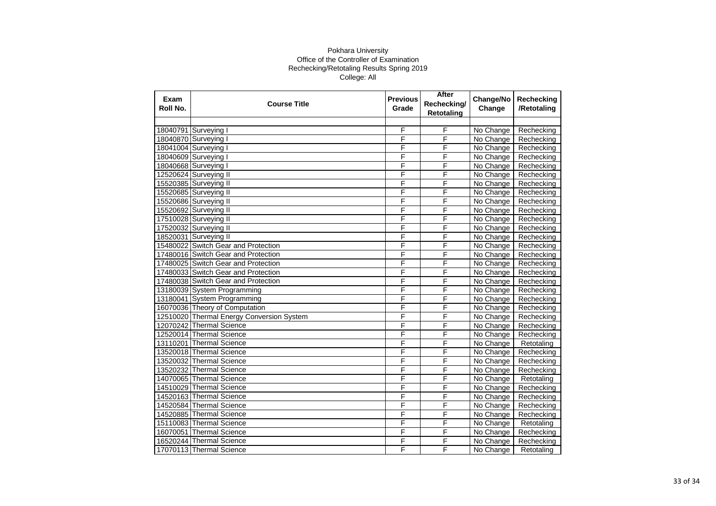| Exam<br>Roll No. | <b>Course Title</b>                       | <b>Previous</b><br>Grade | After<br>Rechecking/<br><b>Retotaling</b> | Change/No<br>Change | Rechecking<br>/Retotaling |
|------------------|-------------------------------------------|--------------------------|-------------------------------------------|---------------------|---------------------------|
|                  |                                           |                          |                                           |                     |                           |
|                  | 18040791 Surveying I                      | F                        | F                                         | No Change           | Rechecking                |
|                  | 18040870 Surveying I                      | F                        | F                                         | No Change           | Rechecking                |
|                  | 18041004 Surveying I                      | F                        | F                                         | No Change           | Rechecking                |
|                  | 18040609 Surveying I                      | F                        | F                                         | No Change           | Rechecking                |
|                  | 18040668 Surveying I                      | F                        | F                                         | No Change           | Rechecking                |
|                  | 12520624 Surveying II                     | F                        | F                                         | No Change           | Rechecking                |
|                  | 15520385 Surveying II                     | F                        | F                                         | No Change           | Rechecking                |
|                  | 15520685 Surveying II                     | F                        | F                                         | No Change           | Rechecking                |
|                  | 15520686 Surveying II                     | F                        | F                                         | No Change           | Rechecking                |
|                  | 15520692 Surveying II                     | F                        | F                                         | No Change           | Rechecking                |
|                  | 17510028 Surveying II                     | F                        | F                                         | No Change           | Rechecking                |
|                  | 17520032 Surveying II                     | F                        | F                                         | No Change           | Rechecking                |
|                  | 18520031 Surveying II                     | F                        | F                                         | No Change           | Rechecking                |
|                  | 15480022 Switch Gear and Protection       | F                        | F                                         | No Change           | Rechecking                |
|                  | 17480016 Switch Gear and Protection       | F                        | F                                         | No Change           | Rechecking                |
|                  | 17480025 Switch Gear and Protection       | F                        | F                                         | No Change           | Rechecking                |
|                  | 17480033 Switch Gear and Protection       | F                        | F                                         | No Change           | Rechecking                |
|                  | 17480038 Switch Gear and Protection       | F                        | F                                         | No Change           | Rechecking                |
|                  | 13180039 System Programming               | F                        | F                                         | No Change           | Rechecking                |
|                  | 13180041 System Programming               | F                        | F                                         | No Change           | Rechecking                |
|                  | 16070036 Theory of Computation            | F                        | F                                         | No Change           | Rechecking                |
|                  | 12510020 Thermal Energy Conversion System | F                        | F                                         | No Change           | Rechecking                |
|                  | 12070242 Thermal Science                  | F                        | F                                         | No Change           | Rechecking                |
|                  | 12520014 Thermal Science                  | F                        | F                                         | No Change           | Rechecking                |
|                  | 13110201 Thermal Science                  | F                        | F                                         | No Change           | Retotaling                |
|                  | 13520018 Thermal Science                  | F                        | F                                         | No Change           | Rechecking                |
|                  | 13520032 Thermal Science                  | F                        | F                                         | No Change           | Rechecking                |
|                  | 13520232 Thermal Science                  | F                        | F                                         | No Change           | Rechecking                |
|                  | 14070065 Thermal Science                  | F                        | F                                         | No Change           | Retotaling                |
|                  | 14510029 Thermal Science                  | F                        | F                                         | No Change           | Rechecking                |
|                  | 14520163 Thermal Science                  | F                        | F                                         | No Change           | Rechecking                |
|                  | 14520584 Thermal Science                  | F                        | F                                         | No Change           | Rechecking                |
|                  | 14520885 Thermal Science                  | F                        | F                                         | No Change           | Rechecking                |
|                  | 15110083 Thermal Science                  | F                        | F                                         | No Change           | Retotaling                |
|                  | 16070051 Thermal Science                  | F                        | F                                         | No Change           | Rechecking                |
|                  | 16520244 Thermal Science                  | F                        | F                                         | No Change           | Rechecking                |
|                  | 17070113 Thermal Science                  | F                        | F                                         | No Change           | Retotaling                |